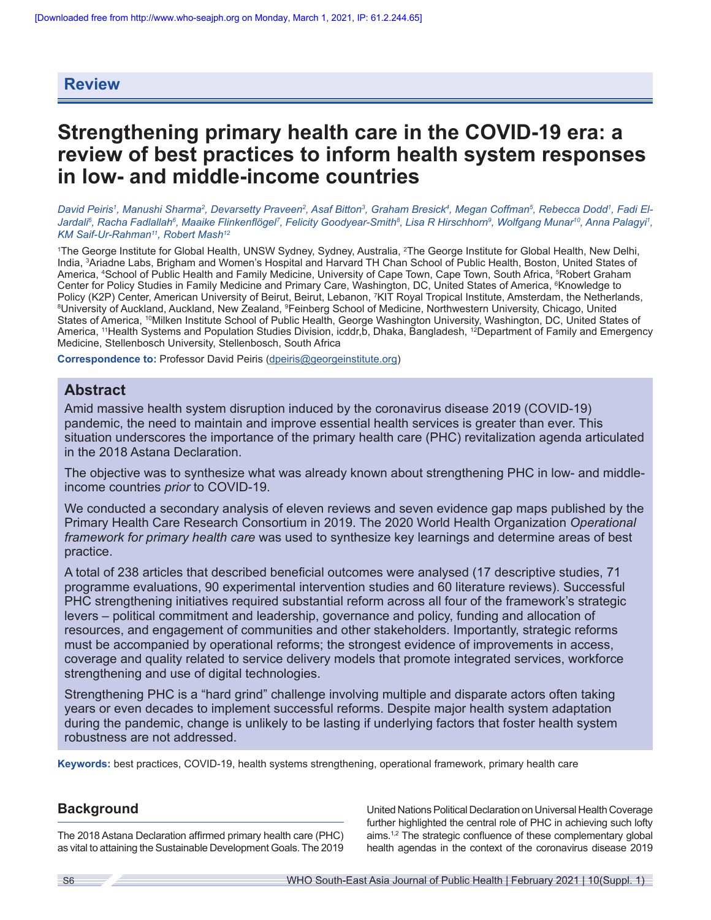# **Review**

# **Strengthening primary health care in the COVID-19 era: a review of best practices to inform health system responses in low- and middle-income countries**

David Peiris<sup>1</sup>, Manushi Sharma<sup>2</sup>, Devarsetty Praveen<sup>2</sup>, Asaf Bitton<sup>3</sup>, Graham Bresick<sup>4</sup>, Megan Coffman<sup>5</sup>, Rebecca Dodd<sup>1</sup>, Fadi El-Jardali<sup>s</sup>, Racha Fadlallah<sup>s</sup>, Maaike Flinkenflögel<sup>7</sup>, Felicity Goodyear-Smith<sup>s</sup>, Lisa R Hirschhorn<sup>9</sup>, Wolfgang Munar<sup>10</sup>, Anna Palagyi<sup>1</sup>, *KM Saif-Ur-Rahman11, Robert Mash12*

1 The George Institute for Global Health, UNSW Sydney, Sydney, Australia, <sup>2</sup> The George Institute for Global Health, New Delhi, India, <sup>3</sup> Ariadne Labs, Brigham and Women's Hospital and Harvard TH Chan School of Public Health, Boston, United States of America, 4 School of Public Health and Family Medicine, University of Cape Town, Cape Town, South Africa, <sup>5</sup> Robert Graham Center for Policy Studies in Family Medicine and Primary Care, Washington, DC, United States of America, <sup>6</sup>Knowledge to Policy (K2P) Center, American University of Beirut, Beirut, Lebanon, <sup>7</sup>KIT Royal Tropical Institute, Amsterdam, the Netherlands,<br><sup>8</sup>Llniversity of Auckland, Auckland, New Zealand, <sup>9</sup>Feinberg School of Medicine, Northwest University of Auckland, Auckland, New Zealand, <sup>9</sup>Feinberg School of Medicine, Northwestern University, Chicago, United States of America, <sup>10</sup>Milken Institute School of Public Health, George Washington University, Washington, DC, United States of America, <sup>11</sup>Health Systems and Population Studies Division, icddr,b, Dhaka, Bangladesh, <sup>12</sup>Department of Family and Emergency Medicine, Stellenbosch University, Stellenbosch, South Africa

**Correspondence to:** Professor David Peiris [\(dpeiris@georgeinstitute.org](mailto:dpeiris@georgeinstitute.org))

# **Abstract**

Amid massive health system disruption induced by the coronavirus disease 2019 (COVID-19) pandemic, the need to maintain and improve essential health services is greater than ever. This situation underscores the importance of the primary health care (PHC) revitalization agenda articulated in the 2018 Astana Declaration.

The objective was to synthesize what was already known about strengthening PHC in low- and middleincome countries *prior* to COVID-19.

We conducted a secondary analysis of eleven reviews and seven evidence gap maps published by the Primary Health Care Research Consortium in 2019. The 2020 World Health Organization *Operational framework for primary health care* was used to synthesize key learnings and determine areas of best practice.

A total of 238 articles that described beneficial outcomes were analysed (17 descriptive studies, 71 programme evaluations, 90 experimental intervention studies and 60 literature reviews). Successful PHC strengthening initiatives required substantial reform across all four of the framework's strategic levers – political commitment and leadership, governance and policy, funding and allocation of resources, and engagement of communities and other stakeholders. Importantly, strategic reforms must be accompanied by operational reforms; the strongest evidence of improvements in access, coverage and quality related to service delivery models that promote integrated services, workforce strengthening and use of digital technologies.

Strengthening PHC is a "hard grind" challenge involving multiple and disparate actors often taking years or even decades to implement successful reforms. Despite major health system adaptation during the pandemic, change is unlikely to be lasting if underlying factors that foster health system robustness are not addressed.

**Keywords:** best practices, COVID-19, health systems strengthening, operational framework, primary health care

# **Background**

The 2018 Astana Declaration affirmed primary health care (PHC) as vital to attaining the Sustainable Development Goals. The 2019 United Nations Political Declaration on Universal Health Coverage further highlighted the central role of PHC in achieving such lofty aims.<sup>1,2</sup> The strategic confluence of these complementary global health agendas in the context of the coronavirus disease 2019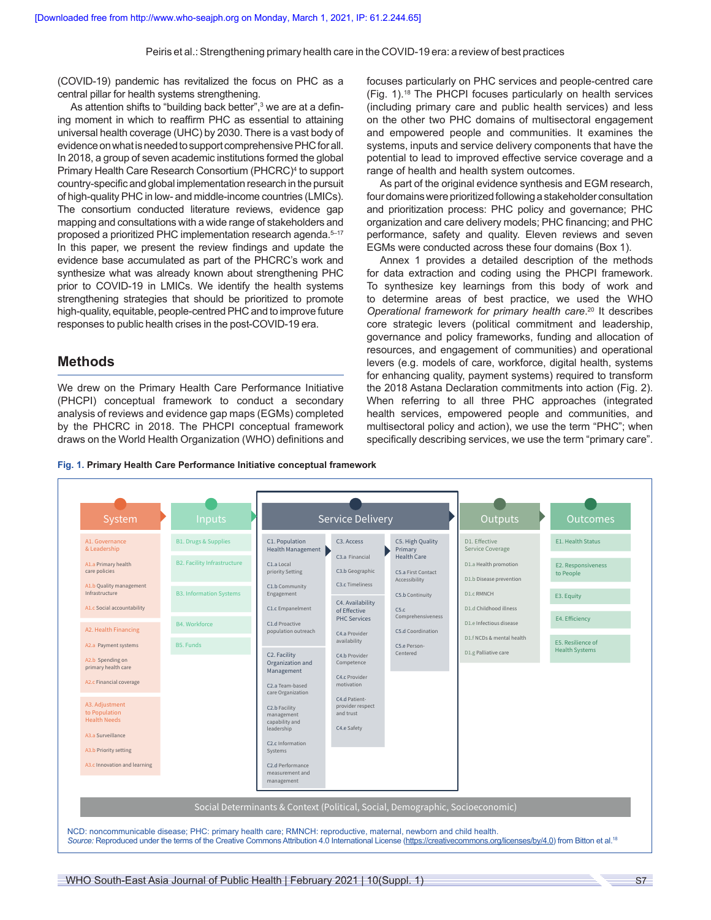(COVID-19) pandemic has revitalized the focus on PHC as a central pillar for health systems strengthening.

As attention shifts to "building back better",<sup>3</sup> we are at a defining moment in which to reaffirm PHC as essential to attaining universal health coverage (UHC) by 2030. There is a vast body of evidence on what is needed to support comprehensive PHC for all. In 2018, a group of seven academic institutions formed the global Primary Health Care Research Consortium (PHCRC)<sup>4</sup> to support country-specific and global implementation research in the pursuit of high-quality PHC in low- and middle-income countries (LMICs). The consortium conducted literature reviews, evidence gap mapping and consultations with a wide range of stakeholders and proposed a prioritized PHC implementation research agenda.<sup>5-17</sup> In this paper, we present the review findings and update the evidence base accumulated as part of the PHCRC's work and synthesize what was already known about strengthening PHC prior to COVID-19 in LMICs. We identify the health systems strengthening strategies that should be prioritized to promote high-quality, equitable, people-centred PHC and to improve future responses to public health crises in the post-COVID-19 era.

# **Methods**

We drew on the Primary Health Care Performance Initiative (PHCPI) conceptual framework to conduct a secondary analysis of reviews and evidence gap maps (EGMs) completed by the PHCRC in 2018. The PHCPI conceptual framework draws on the World Health Organization (WHO) definitions and focuses particularly on PHC services and people-centred care (Fig. 1).18 The PHCPI focuses particularly on health services (including primary care and public health services) and less on the other two PHC domains of multisectoral engagement and empowered people and communities. It examines the systems, inputs and service delivery components that have the potential to lead to improved effective service coverage and a range of health and health system outcomes.

As part of the original evidence synthesis and EGM research, four domains were prioritized following a stakeholder consultation and prioritization process: PHC policy and governance; PHC organization and care delivery models; PHC financing; and PHC performance, safety and quality. Eleven reviews and seven EGMs were conducted across these four domains (Box 1).

Annex 1 provides a detailed description of the methods for data extraction and coding using the PHCPI framework. To synthesize key learnings from this body of work and to determine areas of best practice, we used the WHO *Operational framework for primary health care*. <sup>20</sup> It describes core strategic levers (political commitment and leadership, governance and policy frameworks, funding and allocation of resources, and engagement of communities) and operational levers (e.g. models of care, workforce, digital health, systems for enhancing quality, payment systems) required to transform the 2018 Astana Declaration commitments into action (Fig. 2). When referring to all three PHC approaches (integrated health services, empowered people and communities, and multisectoral policy and action), we use the term "PHC"; when specifically describing services, we use the term "primary care".



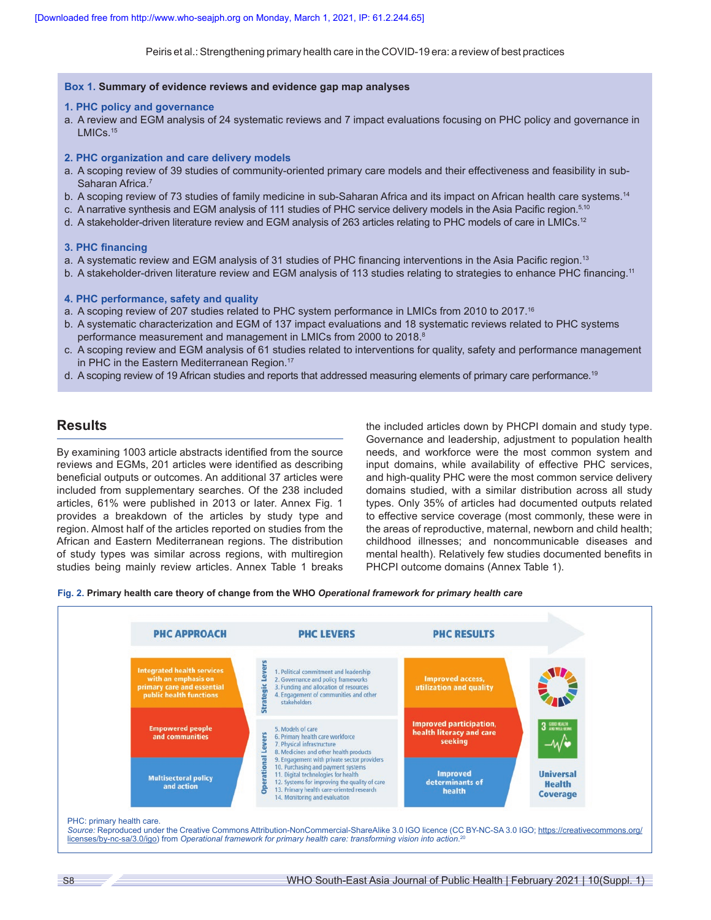# **Box 1. Summary of evidence reviews and evidence gap map analyses**

### **1. PHC policy and governance**

a. A review and EGM analysis of 24 systematic reviews and 7 impact evaluations focusing on PHC policy and governance in LMICs.<sup>15</sup>

### **2. PHC organization and care delivery models**

- a. A scoping review of 39 studies of community-oriented primary care models and their effectiveness and feasibility in sub-Saharan Africa.<sup>7</sup>
- b. A scoping review of 73 studies of family medicine in sub-Saharan Africa and its impact on African health care systems.<sup>14</sup>
- c. A narrative synthesis and EGM analysis of 111 studies of PHC service delivery models in the Asia Pacific region.<sup>5,10</sup>
- d. A stakeholder-driven literature review and EGM analysis of 263 articles relating to PHC models of care in LMICs.<sup>12</sup>

### **3. PHC financing**

- a. A systematic review and EGM analysis of 31 studies of PHC financing interventions in the Asia Pacific region.<sup>13</sup>
- b. A stakeholder-driven literature review and EGM analysis of 113 studies relating to strategies to enhance PHC financing.<sup>11</sup>

### **4. PHC performance, safety and quality**

- a. A scoping review of 207 studies related to PHC system performance in LMICs from 2010 to 2017.<sup>16</sup>
- b. A systematic characterization and EGM of 137 impact evaluations and 18 systematic reviews related to PHC systems performance measurement and management in LMICs from 2000 to 2018.<sup>8</sup>
- c. A scoping review and EGM analysis of 61 studies related to interventions for quality, safety and performance management in PHC in the Eastern Mediterranean Region.<sup>17</sup>
- d. A scoping review of 19 African studies and reports that addressed measuring elements of primary care performance.<sup>19</sup>

# **Results**

By examining 1003 article abstracts identified from the source reviews and EGMs, 201 articles were identified as describing beneficial outputs or outcomes. An additional 37 articles were included from supplementary searches. Of the 238 included articles, 61% were published in 2013 or later. Annex Fig. 1 provides a breakdown of the articles by study type and region. Almost half of the articles reported on studies from the African and Eastern Mediterranean regions. The distribution of study types was similar across regions, with multiregion studies being mainly review articles. Annex Table 1 breaks

the included articles down by PHCPI domain and study type. Governance and leadership, adjustment to population health needs, and workforce were the most common system and input domains, while availability of effective PHC services, and high-quality PHC were the most common service delivery domains studied, with a similar distribution across all study types. Only 35% of articles had documented outputs related to effective service coverage (most commonly, these were in the areas of reproductive, maternal, newborn and child health; childhood illnesses; and noncommunicable diseases and mental health). Relatively few studies documented benefits in PHCPI outcome domains (Annex Table 1).

**Fig. 2. Primary health care theory of change from the WHO** *Operational framework for primary health care*

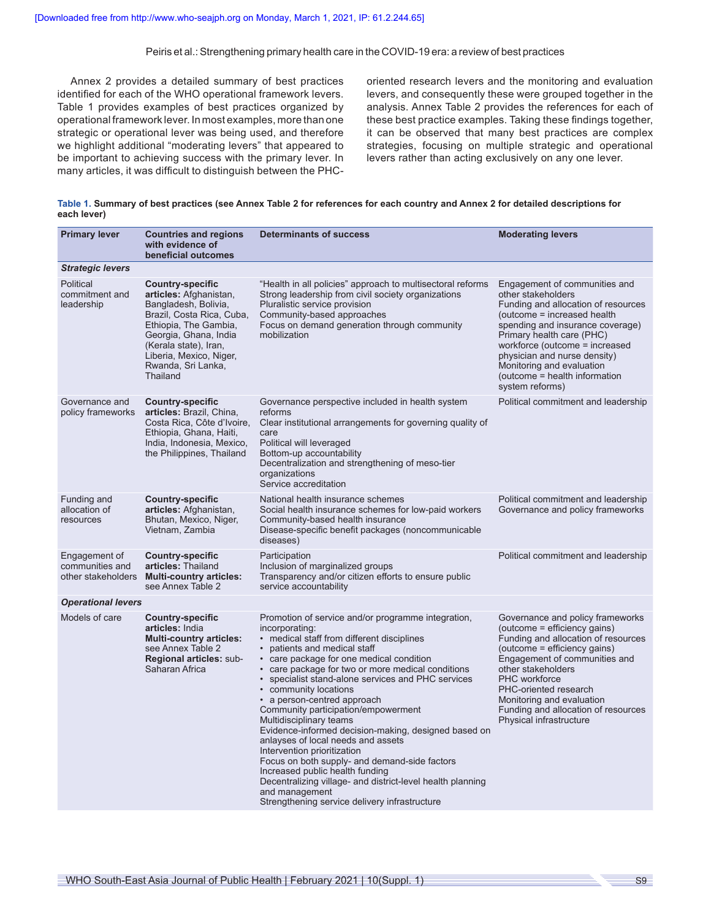Annex 2 provides a detailed summary of best practices identified for each of the WHO operational framework levers. Table 1 provides examples of best practices organized by operational framework lever. In most examples, more than one strategic or operational lever was being used, and therefore we highlight additional "moderating levers" that appeared to be important to achieving success with the primary lever. In many articles, it was difficult to distinguish between the PHC-

oriented research levers and the monitoring and evaluation levers, and consequently these were grouped together in the analysis. Annex Table 2 provides the references for each of these best practice examples. Taking these findings together, it can be observed that many best practices are complex strategies, focusing on multiple strategic and operational levers rather than acting exclusively on any one lever.

|             | Table 1. Summary of best practices (see Annex Table 2 for references for each country and Annex 2 for detailed descriptions for |
|-------------|---------------------------------------------------------------------------------------------------------------------------------|
| each lever) |                                                                                                                                 |

| <b>Primary lever</b>                      | <b>Countries and regions</b><br>with evidence of<br>beneficial outcomes                                                                                                                                                                        | <b>Determinants of success</b>                                                                                                                                                                                                                                                                                                                                                                                                                                                                                                                                                                                                                                                                                                                                                        | <b>Moderating levers</b>                                                                                                                                                                                                                                                                                                                       |
|-------------------------------------------|------------------------------------------------------------------------------------------------------------------------------------------------------------------------------------------------------------------------------------------------|---------------------------------------------------------------------------------------------------------------------------------------------------------------------------------------------------------------------------------------------------------------------------------------------------------------------------------------------------------------------------------------------------------------------------------------------------------------------------------------------------------------------------------------------------------------------------------------------------------------------------------------------------------------------------------------------------------------------------------------------------------------------------------------|------------------------------------------------------------------------------------------------------------------------------------------------------------------------------------------------------------------------------------------------------------------------------------------------------------------------------------------------|
| <b>Strategic levers</b>                   |                                                                                                                                                                                                                                                |                                                                                                                                                                                                                                                                                                                                                                                                                                                                                                                                                                                                                                                                                                                                                                                       |                                                                                                                                                                                                                                                                                                                                                |
| Political<br>commitment and<br>leadership | <b>Country-specific</b><br>articles: Afghanistan,<br>Bangladesh, Bolivia,<br>Brazil, Costa Rica, Cuba,<br>Ethiopia, The Gambia,<br>Georgia, Ghana, India<br>(Kerala state), Iran,<br>Liberia, Mexico, Niger,<br>Rwanda, Sri Lanka,<br>Thailand | "Health in all policies" approach to multisectoral reforms<br>Strong leadership from civil society organizations<br>Pluralistic service provision<br>Community-based approaches<br>Focus on demand generation through community<br>mobilization                                                                                                                                                                                                                                                                                                                                                                                                                                                                                                                                       | Engagement of communities and<br>other stakeholders<br>Funding and allocation of resources<br>(outcome = increased health<br>spending and insurance coverage)<br>Primary health care (PHC)<br>workforce (outcome = increased<br>physician and nurse density)<br>Monitoring and evaluation<br>(outcome = health information<br>system reforms)  |
| Governance and<br>policy frameworks       | <b>Country-specific</b><br>articles: Brazil, China,<br>Costa Rica, Côte d'Ivoire,<br>Ethiopia, Ghana, Haiti,<br>India, Indonesia, Mexico,<br>the Philippines, Thailand                                                                         | Governance perspective included in health system<br>reforms<br>Clear institutional arrangements for governing quality of<br>care<br>Political will leveraged<br>Bottom-up accountability<br>Decentralization and strengthening of meso-tier<br>organizations<br>Service accreditation                                                                                                                                                                                                                                                                                                                                                                                                                                                                                                 | Political commitment and leadership                                                                                                                                                                                                                                                                                                            |
| Funding and<br>allocation of<br>resources | <b>Country-specific</b><br>articles: Afghanistan,<br>Bhutan, Mexico, Niger,<br>Vietnam, Zambia                                                                                                                                                 | National health insurance schemes<br>Social health insurance schemes for low-paid workers<br>Community-based health insurance<br>Disease-specific benefit packages (noncommunicable<br>diseases)                                                                                                                                                                                                                                                                                                                                                                                                                                                                                                                                                                                      | Political commitment and leadership<br>Governance and policy frameworks                                                                                                                                                                                                                                                                        |
| Engagement of<br>communities and          | <b>Country-specific</b><br>articles: Thailand<br>other stakeholders Multi-country articles:<br>see Annex Table 2                                                                                                                               | Participation<br>Inclusion of marginalized groups<br>Transparency and/or citizen efforts to ensure public<br>service accountability                                                                                                                                                                                                                                                                                                                                                                                                                                                                                                                                                                                                                                                   | Political commitment and leadership                                                                                                                                                                                                                                                                                                            |
| <b>Operational levers</b>                 |                                                                                                                                                                                                                                                |                                                                                                                                                                                                                                                                                                                                                                                                                                                                                                                                                                                                                                                                                                                                                                                       |                                                                                                                                                                                                                                                                                                                                                |
| Models of care                            | <b>Country-specific</b><br>articles: India<br><b>Multi-country articles:</b><br>see Annex Table 2<br>Regional articles: sub-<br>Saharan Africa                                                                                                 | Promotion of service and/or programme integration,<br>incorporating:<br>• medical staff from different disciplines<br>• patients and medical staff<br>• care package for one medical condition<br>• care package for two or more medical conditions<br>• specialist stand-alone services and PHC services<br>• community locations<br>• a person-centred approach<br>Community participation/empowerment<br>Multidisciplinary teams<br>Evidence-informed decision-making, designed based on<br>anlayses of local needs and assets<br>Intervention prioritization<br>Focus on both supply- and demand-side factors<br>Increased public health funding<br>Decentralizing village- and district-level health planning<br>and management<br>Strengthening service delivery infrastructure | Governance and policy frameworks<br>(outcome = efficiency gains)<br>Funding and allocation of resources<br>(outcome = efficiency gains)<br>Engagement of communities and<br>other stakeholders<br><b>PHC</b> workforce<br>PHC-oriented research<br>Monitoring and evaluation<br>Funding and allocation of resources<br>Physical infrastructure |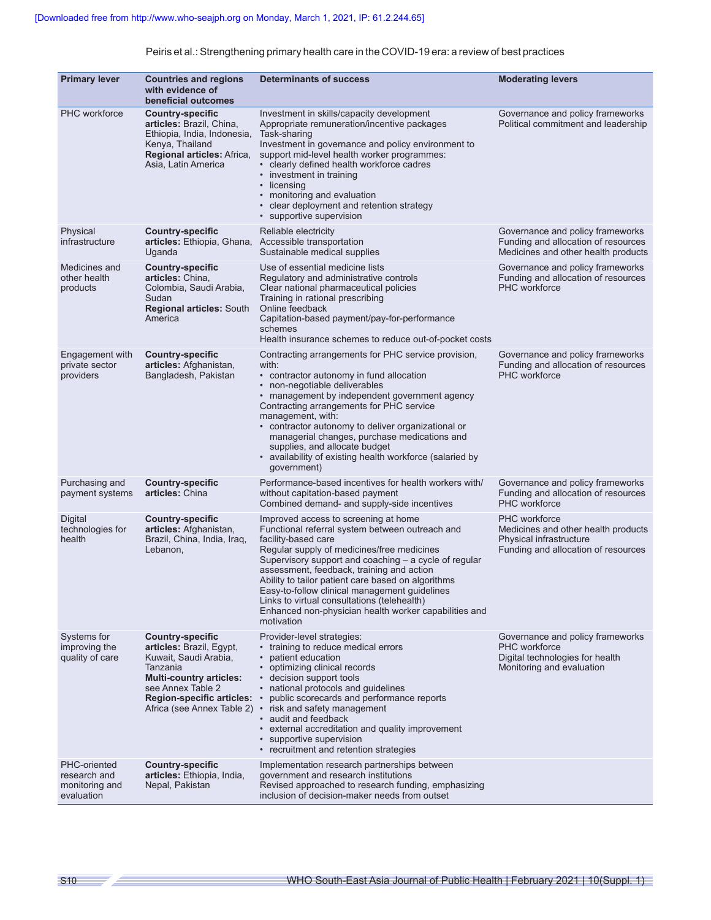| <b>Primary lever</b>                                         | <b>Countries and regions</b><br>with evidence of<br>beneficial outcomes                                                                                                                                           | <b>Determinants of success</b>                                                                                                                                                                                                                                                                                                                                                                                                                                                                  | <b>Moderating levers</b>                                                                                                      |
|--------------------------------------------------------------|-------------------------------------------------------------------------------------------------------------------------------------------------------------------------------------------------------------------|-------------------------------------------------------------------------------------------------------------------------------------------------------------------------------------------------------------------------------------------------------------------------------------------------------------------------------------------------------------------------------------------------------------------------------------------------------------------------------------------------|-------------------------------------------------------------------------------------------------------------------------------|
| <b>PHC</b> workforce                                         | <b>Country-specific</b><br>articles: Brazil, China,<br>Ethiopia, India, Indonesia,<br>Kenya, Thailand<br>Regional articles: Africa,<br>Asia, Latin America                                                        | Investment in skills/capacity development<br>Appropriate remuneration/incentive packages<br>Task-sharing<br>Investment in governance and policy environment to<br>support mid-level health worker programmes:<br>· clearly defined health workforce cadres<br>• investment in training<br>• licensing<br>• monitoring and evaluation<br>• clear deployment and retention strategy<br>• supportive supervision                                                                                   | Governance and policy frameworks<br>Political commitment and leadership                                                       |
| Physical<br>infrastructure                                   | <b>Country-specific</b><br>articles: Ethiopia, Ghana, Accessible transportation<br>Uganda                                                                                                                         | Reliable electricity<br>Sustainable medical supplies                                                                                                                                                                                                                                                                                                                                                                                                                                            | Governance and policy frameworks<br>Funding and allocation of resources<br>Medicines and other health products                |
| Medicines and<br>other health<br>products                    | <b>Country-specific</b><br>articles: China,<br>Colombia, Saudi Arabia,<br>Sudan<br><b>Regional articles: South</b><br>America                                                                                     | Use of essential medicine lists<br>Regulatory and administrative controls<br>Clear national pharmaceutical policies<br>Training in rational prescribing<br>Online feedback<br>Capitation-based payment/pay-for-performance<br>schemes<br>Health insurance schemes to reduce out-of-pocket costs                                                                                                                                                                                                 | Governance and policy frameworks<br>Funding and allocation of resources<br><b>PHC</b> workforce                               |
| Engagement with<br>private sector<br>providers               | <b>Country-specific</b><br>articles: Afghanistan,<br>Bangladesh, Pakistan                                                                                                                                         | Contracting arrangements for PHC service provision,<br>with:<br>• contractor autonomy in fund allocation<br>• non-negotiable deliverables<br>• management by independent government agency<br>Contracting arrangements for PHC service<br>management, with:<br>• contractor autonomy to deliver organizational or<br>managerial changes, purchase medications and<br>supplies, and allocate budget<br>• availability of existing health workforce (salaried by<br>government)                   | Governance and policy frameworks<br>Funding and allocation of resources<br>PHC workforce                                      |
| Purchasing and<br>payment systems                            | <b>Country-specific</b><br>articles: China                                                                                                                                                                        | Performance-based incentives for health workers with/<br>without capitation-based payment<br>Combined demand- and supply-side incentives                                                                                                                                                                                                                                                                                                                                                        | Governance and policy frameworks<br>Funding and allocation of resources<br><b>PHC</b> workforce                               |
| Digital<br>technologies for<br>health                        | <b>Country-specific</b><br>articles: Afghanistan,<br>Brazil, China, India, Iraq,<br>Lebanon,                                                                                                                      | Improved access to screening at home<br>Functional referral system between outreach and<br>facility-based care<br>Regular supply of medicines/free medicines<br>Supervisory support and coaching - a cycle of regular<br>assessment, feedback, training and action<br>Ability to tailor patient care based on algorithms<br>Easy-to-follow clinical management guidelines<br>Links to virtual consultations (telehealth)<br>Enhanced non-physician health worker capabilities and<br>motivation | <b>PHC</b> workforce<br>Medicines and other health products<br>Physical infrastructure<br>Funding and allocation of resources |
| Systems for<br>improving the<br>quality of care              | <b>Country-specific</b><br>articles: Brazil, Egypt,<br>Kuwait, Saudi Arabia,<br>Tanzania<br><b>Multi-country articles:</b><br>see Annex Table 2<br><b>Region-specific articles:</b><br>Africa (see Annex Table 2) | Provider-level strategies:<br>• training to reduce medical errors<br>patient education<br>$\bullet$<br>• optimizing clinical records<br>• decision support tools<br>• national protocols and guidelines<br>public scorecards and performance reports<br>risk and safety management<br>$\bullet$<br>• audit and feedback<br>• external accreditation and quality improvement<br>• supportive supervision<br>• recruitment and retention strategies                                               | Governance and policy frameworks<br><b>PHC</b> workforce<br>Digital technologies for health<br>Monitoring and evaluation      |
| PHC-oriented<br>research and<br>monitoring and<br>evaluation | <b>Country-specific</b><br>articles: Ethiopia, India,<br>Nepal, Pakistan                                                                                                                                          | Implementation research partnerships between<br>government and research institutions<br>Revised approached to research funding, emphasizing<br>inclusion of decision-maker needs from outset                                                                                                                                                                                                                                                                                                    |                                                                                                                               |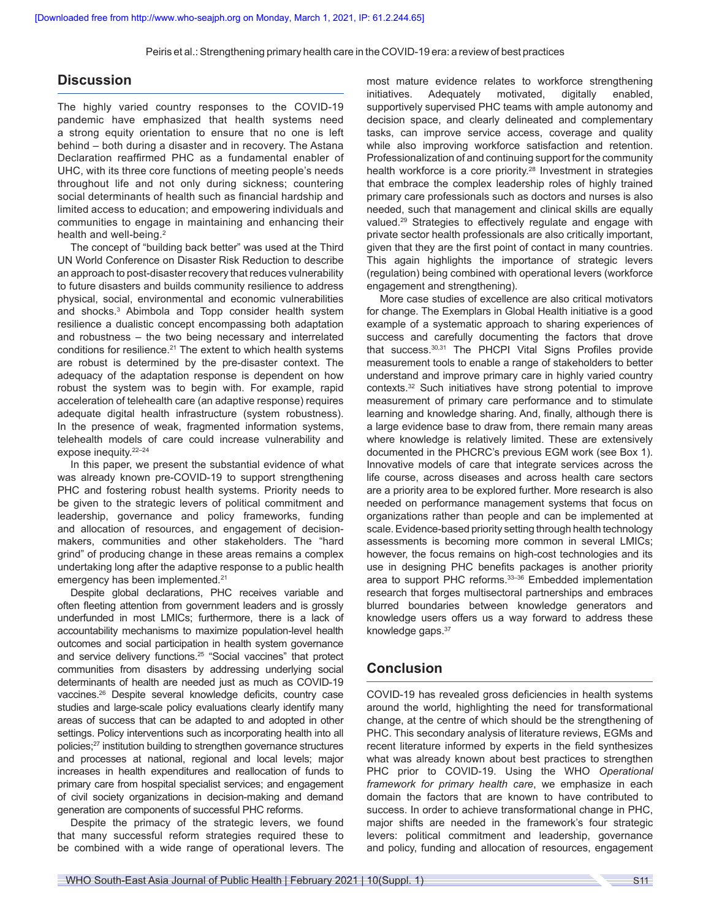# **Discussion**

The highly varied country responses to the COVID-19 pandemic have emphasized that health systems need a strong equity orientation to ensure that no one is left behind – both during a disaster and in recovery. The Astana Declaration reaffirmed PHC as a fundamental enabler of UHC, with its three core functions of meeting people's needs throughout life and not only during sickness; countering social determinants of health such as financial hardship and limited access to education; and empowering individuals and communities to engage in maintaining and enhancing their health and well-being.<sup>2</sup>

The concept of "building back better" was used at the Third UN World Conference on Disaster Risk Reduction to describe an approach to post-disaster recovery that reduces vulnerability to future disasters and builds community resilience to address physical, social, environmental and economic vulnerabilities and shocks.<sup>3</sup> Abimbola and Topp consider health system resilience a dualistic concept encompassing both adaptation and robustness – the two being necessary and interrelated conditions for resilience.<sup>21</sup> The extent to which health systems are robust is determined by the pre-disaster context. The adequacy of the adaptation response is dependent on how robust the system was to begin with. For example, rapid acceleration of telehealth care (an adaptive response) requires adequate digital health infrastructure (system robustness). In the presence of weak, fragmented information systems, telehealth models of care could increase vulnerability and expose inequity.22–24

In this paper, we present the substantial evidence of what was already known pre-COVID-19 to support strengthening PHC and fostering robust health systems. Priority needs to be given to the strategic levers of political commitment and leadership, governance and policy frameworks, funding and allocation of resources, and engagement of decisionmakers, communities and other stakeholders. The "hard grind" of producing change in these areas remains a complex undertaking long after the adaptive response to a public health emergency has been implemented.<sup>21</sup>

Despite global declarations, PHC receives variable and often fleeting attention from government leaders and is grossly underfunded in most LMICs; furthermore, there is a lack of accountability mechanisms to maximize population-level health outcomes and social participation in health system governance and service delivery functions.<sup>25</sup> "Social vaccines" that protect communities from disasters by addressing underlying social determinants of health are needed just as much as COVID-19 vaccines.26 Despite several knowledge deficits, country case studies and large-scale policy evaluations clearly identify many areas of success that can be adapted to and adopted in other settings. Policy interventions such as incorporating health into all policies;27 institution building to strengthen governance structures and processes at national, regional and local levels; major increases in health expenditures and reallocation of funds to primary care from hospital specialist services; and engagement of civil society organizations in decision-making and demand generation are components of successful PHC reforms.

Despite the primacy of the strategic levers, we found that many successful reform strategies required these to be combined with a wide range of operational levers. The most mature evidence relates to workforce strengthening initiatives. Adequately motivated, digitally enabled, supportively supervised PHC teams with ample autonomy and decision space, and clearly delineated and complementary tasks, can improve service access, coverage and quality while also improving workforce satisfaction and retention. Professionalization of and continuing support for the community health workforce is a core priority.<sup>28</sup> Investment in strategies that embrace the complex leadership roles of highly trained primary care professionals such as doctors and nurses is also needed, such that management and clinical skills are equally valued.<sup>29</sup> Strategies to effectively regulate and engage with private sector health professionals are also critically important, given that they are the first point of contact in many countries. This again highlights the importance of strategic levers (regulation) being combined with operational levers (workforce engagement and strengthening).

More case studies of excellence are also critical motivators for change. The Exemplars in Global Health initiative is a good example of a systematic approach to sharing experiences of success and carefully documenting the factors that drove that success.30,31 The PHCPI Vital Signs Profiles provide measurement tools to enable a range of stakeholders to better understand and improve primary care in highly varied country contexts.32 Such initiatives have strong potential to improve measurement of primary care performance and to stimulate learning and knowledge sharing. And, finally, although there is a large evidence base to draw from, there remain many areas where knowledge is relatively limited. These are extensively documented in the PHCRC's previous EGM work (see Box 1). Innovative models of care that integrate services across the life course, across diseases and across health care sectors are a priority area to be explored further. More research is also needed on performance management systems that focus on organizations rather than people and can be implemented at scale. Evidence-based priority setting through health technology assessments is becoming more common in several LMICs; however, the focus remains on high-cost technologies and its use in designing PHC benefits packages is another priority area to support PHC reforms.33–36 Embedded implementation research that forges multisectoral partnerships and embraces blurred boundaries between knowledge generators and knowledge users offers us a way forward to address these knowledge gaps. 37

# **Conclusion**

COVID-19 has revealed gross deficiencies in health systems around the world, highlighting the need for transformational change, at the centre of which should be the strengthening of PHC. This secondary analysis of literature reviews, EGMs and recent literature informed by experts in the field synthesizes what was already known about best practices to strengthen PHC prior to COVID-19. Using the WHO *Operational framework for primary health care*, we emphasize in each domain the factors that are known to have contributed to success. In order to achieve transformational change in PHC, major shifts are needed in the framework's four strategic levers: political commitment and leadership, governance and policy, funding and allocation of resources, engagement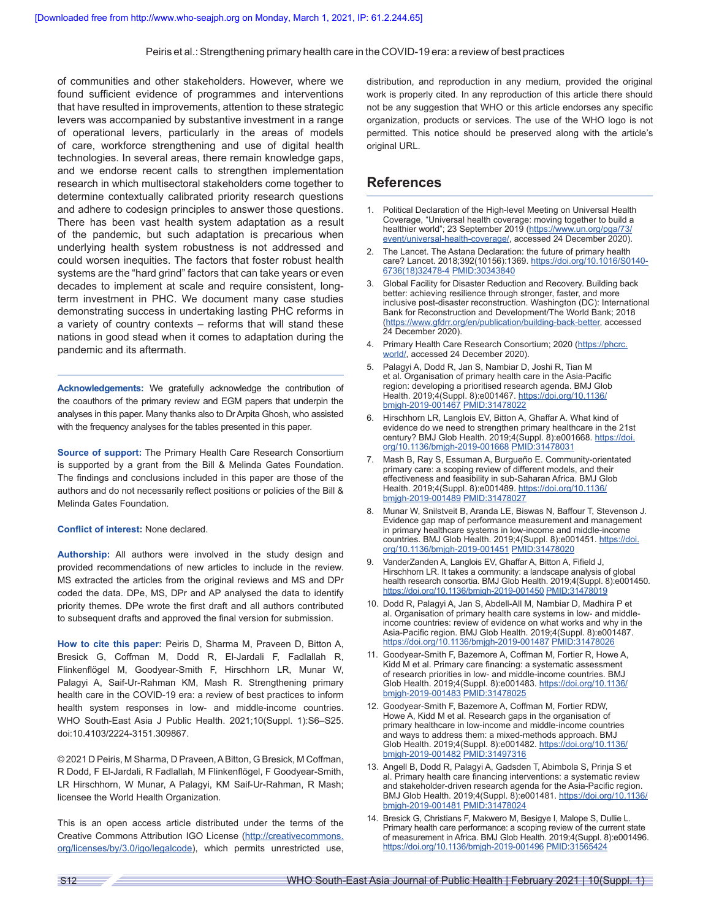of communities and other stakeholders. However, where we found sufficient evidence of programmes and interventions that have resulted in improvements, attention to these strategic levers was accompanied by substantive investment in a range of operational levers, particularly in the areas of models of care, workforce strengthening and use of digital health technologies. In several areas, there remain knowledge gaps, and we endorse recent calls to strengthen implementation research in which multisectoral stakeholders come together to determine contextually calibrated priority research questions and adhere to codesign principles to answer those questions. There has been vast health system adaptation as a result of the pandemic, but such adaptation is precarious when underlying health system robustness is not addressed and could worsen inequities. The factors that foster robust health systems are the "hard grind" factors that can take years or even decades to implement at scale and require consistent, longterm investment in PHC. We document many case studies demonstrating success in undertaking lasting PHC reforms in a variety of country contexts – reforms that will stand these nations in good stead when it comes to adaptation during the pandemic and its aftermath.

**Acknowledgements:** We gratefully acknowledge the contribution of the coauthors of the primary review and EGM papers that underpin the analyses in this paper. Many thanks also to Dr Arpita Ghosh, who assisted with the frequency analyses for the tables presented in this paper.

**Source of support:** The Primary Health Care Research Consortium is supported by a grant from the Bill & Melinda Gates Foundation. The findings and conclusions included in this paper are those of the authors and do not necessarily reflect positions or policies of the Bill & Melinda Gates Foundation.

#### **Conflict of interest:** None declared.

**Authorship:** All authors were involved in the study design and provided recommendations of new articles to include in the review. MS extracted the articles from the original reviews and MS and DPr coded the data. DPe, MS, DPr and AP analysed the data to identify priority themes. DPe wrote the first draft and all authors contributed to subsequent drafts and approved the final version for submission.

**How to cite this paper:** Peiris D, Sharma M, Praveen D, Bitton A, Bresick G, Coffman M, Dodd R, El-Jardali F, Fadlallah R, Flinkenflögel M, Goodyear-Smith F, Hirschhorn LR, Munar W, Palagyi A, Saif-Ur-Rahman KM, Mash R. Strengthening primary health care in the COVID-19 era: a review of best practices to inform health system responses in low- and middle-income countries. WHO South-East Asia J Public Health. 2021;10(Suppl. 1):S6–S25. doi:10.4103/2224-3151.309867.

© 2021 D Peiris, M Sharma, D Praveen, ABitton, G Bresick, M Coffman, R Dodd, F El-Jardali, R Fadlallah, M Flinkenflögel, F Goodyear-Smith, LR Hirschhorn, W Munar, A Palagyi, KM Saif-Ur-Rahman, R Mash; licensee the World Health Organization.

This is an open access article distributed under the terms of the Creative Commons Attribution IGO License [\(http://creativecommons.](http://creativecommons.org/licenses/by/3.0/igo/legalcode) [org/licenses/by/3.0/igo/legalcode\)](http://creativecommons.org/licenses/by/3.0/igo/legalcode), which permits unrestricted use, distribution, and reproduction in any medium, provided the original work is properly cited. In any reproduction of this article there should not be any suggestion that WHO or this article endorses any specific organization, products or services. The use of the WHO logo is not permitted. This notice should be preserved along with the article's original URL.

# **References**

- 1. Political Declaration of the High-level Meeting on Universal Health Coverage, "Universal health coverage: moving together to build a healthier world"; 23 September 2019 ([https://www.un.org/pga/73/](https://www.un.org/pga/73/event/universal-health-coverage/) [event/universal-health-coverage/,](https://www.un.org/pga/73/event/universal-health-coverage/) accessed 24 December 2020).
- 2. The Lancet. The Astana Declaration: the future of primary health care? Lancet. 2018;392(10156):1369. [https://doi.org/10.1016/S0140-](https://doi.org/10.1016/S0140-6736(18)32478-4) [6736\(18\)32478-4](https://doi.org/10.1016/S0140-6736(18)32478-4) [PMID:30343840](https://pubmed.ncbi.nlm.nih.gov/30343840/)
- 3. Global Facility for Disaster Reduction and Recovery. Building back better: achieving resilience through stronger, faster, and more inclusive post-disaster reconstruction. Washington (DC): International Bank for Reconstruction and Development/The World Bank; 2018 ([https://www.gfdrr.org/en/publication/building-back-better,](https://www.gfdrr.org/en/publication/building-back-better) accessed 24 December 2020).
- 4. Primary Health Care Research Consortium; 2020 ([https://phcrc.](https://phcrc.world/) [world/,](https://phcrc.world/) accessed 24 December 2020).
- 5. Palagyi A, Dodd R, Jan S, Nambiar D, Joshi R, Tian M et al. Organisation of primary health care in the Asia-Pacific region: developing a prioritised research agenda. BMJ Glob Health. 2019;4(Suppl. 8):e001467. [https://doi.org/10.1136/](https://doi.org/10.1136/bmjgh-2019-001467) [bmjgh-2019-001467](https://doi.org/10.1136/bmjgh-2019-001467) [PMID:31478022](https://pubmed.ncbi.nlm.nih.gov/31478022/)
- 6. Hirschhorn LR, Langlois EV, Bitton A, Ghaffar A. What kind of evidence do we need to strengthen primary healthcare in the 21st century? BMJ Glob Health. 2019;4(Suppl. 8):e001668. [https://doi.](https://doi.org/10.1136/bmjgh-2019-001668) [org/10.1136/bmjgh-2019-001668](https://doi.org/10.1136/bmjgh-2019-001668) [PMID:31478031](https://pubmed.ncbi.nlm.nih.gov/31478031/)
- Mash B, Ray S, Essuman A, Burgueño E. Community-orientated primary care: a scoping review of different models, and their effectiveness and feasibility in sub-Saharan Africa. BMJ Glob Health. 2019;4(Suppl. 8):e001489. [https://doi.org/10.1136/](https://doi.org/10.1136/bmjgh-2019-001489) [bmjgh-2019-001489](https://doi.org/10.1136/bmjgh-2019-001489) [PMID:31478027](https://pubmed.ncbi.nlm.nih.gov/31478027/)
- 8. Munar W, Snilstveit B, Aranda LE, Biswas N, Baffour T, Stevenson J. Evidence gap map of performance measurement and management in primary healthcare systems in low-income and middle-income countries. BMJ Glob Health. 2019;4(Suppl. 8):e001451. [https://doi.](https://doi.org/10.1136/bmjgh-2019-001451) [org/10.1136/bmjgh-2019-001451](https://doi.org/10.1136/bmjgh-2019-001451) [PMID:31478020](https://pubmed.ncbi.nlm.nih.gov/31478020/)
- 9. VanderZanden A, Langlois EV, Ghaffar A, Bitton A, Fifield J, Hirschhorn LR. It takes a community: a landscape analysis of global health research consortia. BMJ Glob Health. 2019;4(Suppl. 8):e001450. <https://doi.org/10.1136/bmjgh-2019-001450> [PMID:31478019](https://pubmed.ncbi.nlm.nih.gov/31478019/)
- 10. Dodd R, Palagyi A, Jan S, Abdell-All M, Nambiar D, Madhira P et al. Organisation of primary health care systems in low- and middleincome countries: review of evidence on what works and why in the Asia-Pacific region. BMJ Glob Health. 2019;4(Suppl. 8):e001487. <https://doi.org/10.1136/bmjgh-2019-001487> [PMID:31478026](https://pubmed.ncbi.nlm.nih.gov/31478026/)
- 11. Goodyear-Smith F, Bazemore A, Coffman M, Fortier R, Howe A, Kidd M et al. Primary care financing: a systematic assessment of research priorities in low- and middle-income countries. BMJ Glob Health. 2019;4(Suppl. 8):e001483. [https://doi.org/10.1136/](https://doi.org/10.1136/bmjgh-2019-001483) [bmjgh-2019-001483](https://doi.org/10.1136/bmjgh-2019-001483) [PMID:31478025](https://pubmed.ncbi.nlm.nih.gov/31478025/)
- 12. Goodyear-Smith F, Bazemore A, Coffman M, Fortier RDW, Howe A, Kidd M et al. Research gaps in the organisation of primary healthcare in low-income and middle-income countries and ways to address them: a mixed-methods approach. BMJ Glob Health. 2019;4(Suppl. 8):e001482. [https://doi.org/10.1136/](https://doi.org/10.1136/bmjgh-2019-001482) [bmjgh-2019-001482](https://doi.org/10.1136/bmjgh-2019-001482) [PMID:31497316](https://pubmed.ncbi.nlm.nih.gov/31497316/)
- 13. Angell B, Dodd R, Palagyi A, Gadsden T, Abimbola S, Prinja S et al. Primary health care financing interventions: a systematic review and stakeholder-driven research agenda for the Asia-Pacific region. BMJ Glob Health. 2019;4(Suppl. 8):e001481. [https://doi.org/10.1136/](https://doi.org/10.1136/bmjgh-2019-001481) [bmjgh-2019-001481](https://doi.org/10.1136/bmjgh-2019-001481) [PMID:31478024](https://pubmed.ncbi.nlm.nih.gov/31478024/)
- 14. Bresick G, Christians F, Makwero M, Besigye I, Malope S, Dullie L. Primary health care performance: a scoping review of the current state of measurement in Africa. BMJ Glob Health. 2019;4(Suppl. 8):e001496. <https://doi.org/10.1136/bmjgh-2019-001496> [PMID:31565424](https://pubmed.ncbi.nlm.nih.gov/31565424/)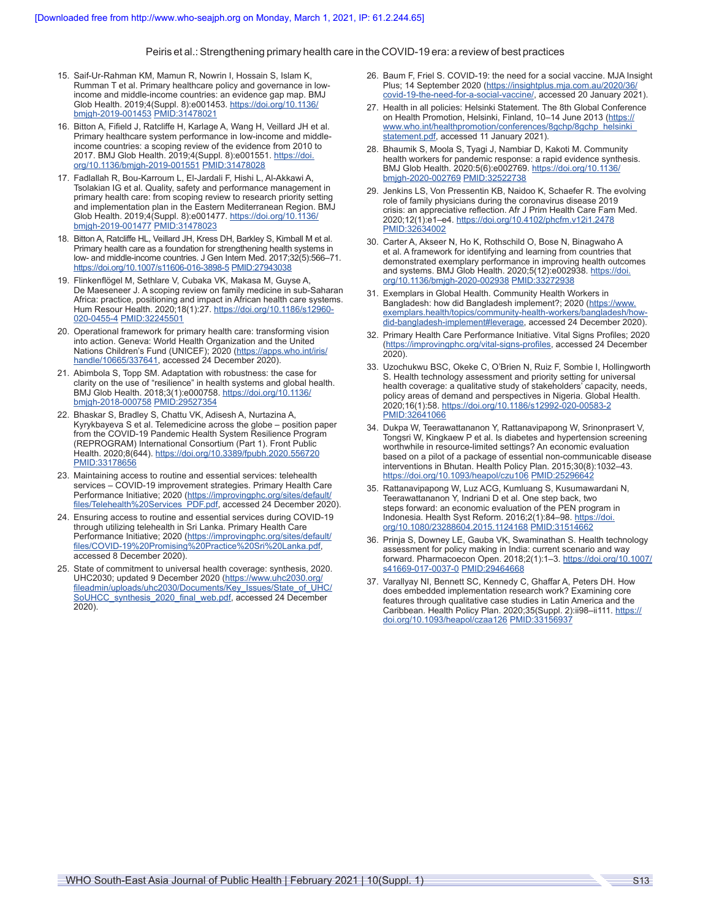- 15. Saif-Ur-Rahman KM, Mamun R, Nowrin I, Hossain S, Islam K, Rumman T et al. Primary healthcare policy and governance in lowincome and middle-income countries: an evidence gap map. BMJ Glob Health. 2019;4(Suppl. 8):e001453. [https://doi.org/10.1136/](https://doi.org/10.1136/bmjgh-2019-001453) [bmjgh-2019-001453](https://doi.org/10.1136/bmjgh-2019-001453) [PMID:31478021](https://pubmed.ncbi.nlm.nih.gov/31478021/)
- 16. Bitton A, Fifield J, Ratcliffe H, Karlage A, Wang H, Veillard JH et al. Primary healthcare system performance in low-income and middleincome countries: a scoping review of the evidence from 2010 to 2017. BMJ Glob Health. 2019;4(Suppl. 8):e001551. [https://doi.](https://doi.org/10.1136/bmjgh-2019-001551) [org/10.1136/bmjgh-2019-001551](https://doi.org/10.1136/bmjgh-2019-001551) [PMID:31478028](https://pubmed.ncbi.nlm.nih.gov/31478028/)
- 17. Fadlallah R, Bou-Karroum L, El-Jardali F, Hishi L, Al-Akkawi A, Tsolakian IG et al. Quality, safety and performance management in primary health care: from scoping review to research priority setting and implementation plan in the Eastern Mediterranean Region. BMJ Glob Health. 2019;4(Suppl. 8):e001477. [https://doi.org/10.1136/](https://doi.org/10.1136/bmjgh-2019-001477) [bmjgh-2019-001477](https://doi.org/10.1136/bmjgh-2019-001477) [PMID:31478023](https://pubmed.ncbi.nlm.nih.gov/31478023/)
- 18. Bitton A, Ratcliffe HL, Veillard JH, Kress DH, Barkley S, Kimball M et al. Primary health care as a foundation for strengthening health systems in low- and middle-income countries. J Gen Intern Med. 2017;32(5):566–71. <https://doi.org/10.1007/s11606-016-3898-5> [PMID:27943038](https://pubmed.ncbi.nlm.nih.gov/27943038/)
- 19. Flinkenflögel M, Sethlare V, Cubaka VK, Makasa M, Guyse A, De Maeseneer J. A scoping review on family medicine in sub-Saharan Africa: practice, positioning and impact in African health care systems. Hum Resour Health. 2020;18(1):27. [https://doi.org/10.1186/s12960-](https://doi.org/10.1186/s12960-020-0455-4) [020-0455-4](https://doi.org/10.1186/s12960-020-0455-4) [PMID:32245501](https://pubmed.ncbi.nlm.nih.gov/32245501/)
- 20. Operational framework for primary health care: transforming vision into action. Geneva: World Health Organization and the United Nations Children's Fund (UNICEF); 2020 ([https://apps.who.int/iris/](https://apps.who.int/iris/handle/10665/337641) [handle/10665/337641](https://apps.who.int/iris/handle/10665/337641), accessed 24 December 2020).
- 21. Abimbola S, Topp SM. Adaptation with robustness: the case for clarity on the use of "resilience" in health systems and global health. BMJ Glob Health. 2018;3(1):e000758. [https://doi.org/10.1136/](https://doi.org/10.1136/bmjgh-2018-000758) [bmjgh-2018-000758](https://doi.org/10.1136/bmjgh-2018-000758) [PMID:29527354](https://pubmed.ncbi.nlm.nih.gov/29527354/)
- 22. Bhaskar S, Bradley S, Chattu VK, Adisesh A, Nurtazina A, Kyrykbayeva S et al. Telemedicine across the globe – position paper from the COVID-19 Pandemic Health System Resilience Program (REPROGRAM) International Consortium (Part 1). Front Public Health. 2020;8(644). <https://doi.org/10.3389/fpubh.2020.556720> [PMID:33178656](https://pubmed.ncbi.nlm.nih.gov/33178656/)
- 23. Maintaining access to routine and essential services: telehealth services – COVID-19 improvement strategies. Primary Health Care Performance Initiative; 2020 ([https://improvingphc.org/sites/default/](https://improvingphc.org/sites/default/files/Telehealth%20Services_PDF.pdf) [files/Telehealth%20Services\\_PDF.pdf,](https://improvingphc.org/sites/default/files/Telehealth%20Services_PDF.pdf) accessed 24 December 2020).
- 24. Ensuring access to routine and essential services during COVID-19 through utilizing telehealth in Sri Lanka. Primary Health Care Performance Initiative; 2020 ([https://improvingphc.org/sites/default/](https://improvingphc.org/sites/default/files/COVID-19%20Promising%20Practice%20Sri%20Lanka.pdf) [files/COVID-19%20Promising%20Practice%20Sri%20Lanka.pdf](https://improvingphc.org/sites/default/files/COVID-19%20Promising%20Practice%20Sri%20Lanka.pdf), accessed 8 December 2020).
- 25. State of commitment to universal health coverage: synthesis, 2020. UHC2030; updated 9 December 2020 ([https://www.uhc2030.org/](https://www.uhc2030.org/fileadmin/uploads/uhc2030/Documents/Key_Issues/State_of_UHC/SoUHCC_synthesis_2020_final_web.pdf) [fileadmin/uploads/uhc2030/Documents/Key\\_Issues/State\\_of\\_UHC/](https://www.uhc2030.org/fileadmin/uploads/uhc2030/Documents/Key_Issues/State_of_UHC/SoUHCC_synthesis_2020_final_web.pdf) [SoUHCC\\_synthesis\\_2020\\_final\\_web.pdf,](https://www.uhc2030.org/fileadmin/uploads/uhc2030/Documents/Key_Issues/State_of_UHC/SoUHCC_synthesis_2020_final_web.pdf) accessed 24 December 2020).
- 26. Baum F, Friel S. COVID-19: the need for a social vaccine. MJA Insight Plus; 14 September 2020 ([https://insightplus.mja.com.au/2020/36/](https://insightplus.mja.com.au/2020/36/covid-19-the-need-for-a-social-vaccine/) [covid-19-the-need-for-a-social-vaccine/,](https://insightplus.mja.com.au/2020/36/covid-19-the-need-for-a-social-vaccine/) accessed 20 January 2021).
- 27. Health in all policies: Helsinki Statement. The 8th Global Conference on Health Promotion, Helsinki, Finland, 10–14 June 2013 [\(https://](https://www.who.int/healthpromotion/conferences/8gchp/8gchp_helsinki_statement.pdf) [www.who.int/healthpromotion/conferences/8gchp/8gchp\\_helsinki\\_](https://www.who.int/healthpromotion/conferences/8gchp/8gchp_helsinki_statement.pdf) [statement.pdf](https://www.who.int/healthpromotion/conferences/8gchp/8gchp_helsinki_statement.pdf), accessed 11 January 2021).
- 28. Bhaumik S, Moola S, Tyagi J, Nambiar D, Kakoti M. Community health workers for pandemic response: a rapid evidence synthesis. BMJ Glob Health. 2020:5(6):e002769. [https://doi.org/10.1136/](https://doi.org/10.1136/bmjgh-2020-002769) [bmjgh-2020-002769](https://doi.org/10.1136/bmjgh-2020-002769) [PMID:32522738](https://pubmed.ncbi.nlm.nih.gov/32522738/)
- 29. Jenkins LS, Von Pressentin KB, Naidoo K, Schaefer R. The evolving role of family physicians during the coronavirus disease 2019 crisis: an appreciative reflection. Afr J Prim Health Care Fam Med. 2020;12(1):e1–e4.<https://doi.org/10.4102/phcfm.v12i1.2478> [PMID:32634002](https://pubmed.ncbi.nlm.nih.gov/32634002/)
- 30. Carter A, Akseer N, Ho K, Rothschild O, Bose N, Binagwaho A et al. A framework for identifying and learning from countries that demonstrated exemplary performance in improving health outcomes and systems. BMJ Glob Health. 2020;5(12):e002938. [https://doi.](https://doi.org/10.1136/bmjgh-2020-002938) [org/10.1136/bmjgh-2020-002938](https://doi.org/10.1136/bmjgh-2020-002938) [PMID:33272938](https://pubmed.ncbi.nlm.nih.gov/33272938/)
- 31. Exemplars in Global Health. Community Health Workers in Bangladesh: how did Bangladesh implement?; 2020 (https://www. exemplars.health/topics/community-health-workers/bangladesh/howdid-bangladesh-implement#leverage, accessed 24 December 2020).
- 32. Primary Health Care Performance Initiative. Vital Signs Profiles; 2020 ([https://improvingphc.org/vital-signs-profiles,](https://improvingphc.org/vital-signs-profiles) accessed 24 December 2020).
- 33. Uzochukwu BSC, Okeke C, O'Brien N, Ruiz F, Sombie I, Hollingworth S. Health technology assessment and priority setting for universal health coverage: a qualitative study of stakeholders' capacity, needs, policy areas of demand and perspectives in Nigeria. Global Health. 2020;16(1):58. <https://doi.org/10.1186/s12992-020-00583-2> [PMID:32641066](https://pubmed.ncbi.nlm.nih.gov/32641066/)
- 34. Dukpa W, Teerawattananon Y, Rattanavipapong W, Srinonprasert V, Tongsri W, Kingkaew P et al. Is diabetes and hypertension screening worthwhile in resource-limited settings? An economic evaluation based on a pilot of a package of essential non-communicable disease interventions in Bhutan. Health Policy Plan. 2015;30(8):1032–43. <https://doi.org/10.1093/heapol/czu106> [PMID:25296642](https://pubmed.ncbi.nlm.nih.gov/25296642/)
- 35. Rattanavipapong W, Luz ACG, Kumluang S, Kusumawardani N, Teerawattananon Y, Indriani D et al. One step back, two steps forward: an economic evaluation of the PEN program in Indonesia. Health Syst Reform. 2016;2(1):84–98. [https://doi.](https://doi.org/10.1080/23288604.2015.1124168) [org/10.1080/23288604.2015.1124168](https://doi.org/10.1080/23288604.2015.1124168) [PMID:31514662](https://pubmed.ncbi.nlm.nih.gov/31514662/)
- 36. Prinja S, Downey LE, Gauba VK, Swaminathan S. Health technology assessment for policy making in India: current scenario and way forward. Pharmacoecon Open. 2018;2(1):1–3. [https://doi.org/10.1007/](https://doi.org/10.1007/s41669-017-0037-0) [s41669-017-0037-0](https://doi.org/10.1007/s41669-017-0037-0) [PMID:29464668](https://pubmed.ncbi.nlm.nih.gov/29464668/)
- 37. Varallyay NI, Bennett SC, Kennedy C, Ghaffar A, Peters DH. How does embedded implementation research work? Examining core features through qualitative case studies in Latin America and the Caribbean. Health Policy Plan. 2020;35(Suppl. 2):ii98-ii111. [https://](https://doi.org/10.1093/heapol/czaa126) [doi.org/10.1093/heapol/czaa126](https://doi.org/10.1093/heapol/czaa126) [PMID:33156937](https://pubmed.ncbi.nlm.nih.gov/33156937/)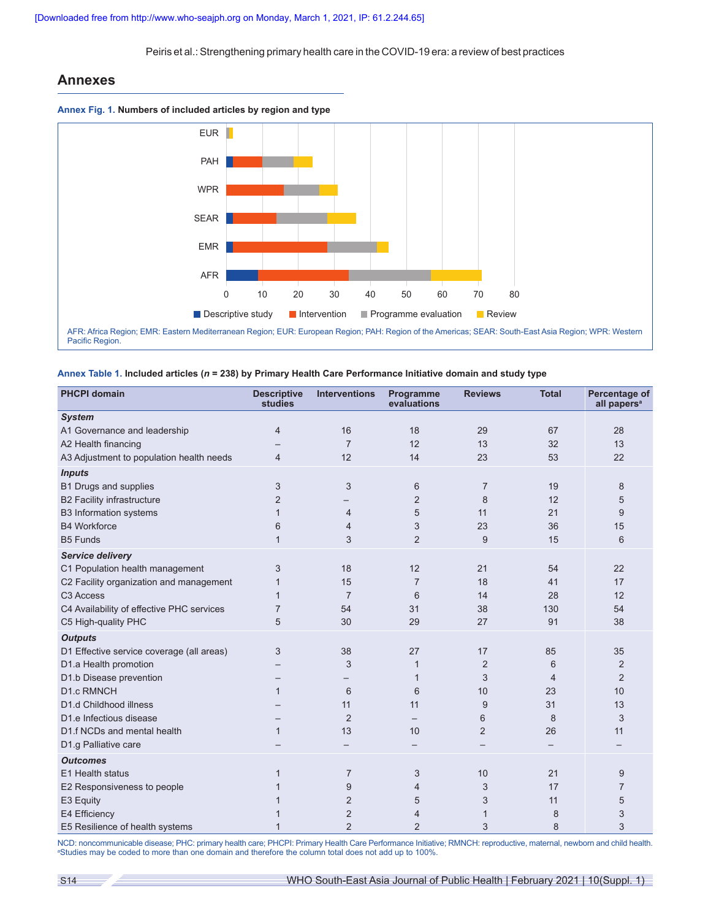# **Annexes**







| <b>PHCPI domain</b>                       | <b>Descriptive</b><br>studies | <b>Interventions</b> | Programme<br>evaluations | <b>Reviews</b> | <b>Total</b> | Percentage of<br>all papers <sup>a</sup> |
|-------------------------------------------|-------------------------------|----------------------|--------------------------|----------------|--------------|------------------------------------------|
| <b>System</b>                             |                               |                      |                          |                |              |                                          |
| A1 Governance and leadership              | $\overline{4}$                | 16                   | 18                       | 29             | 67           | 28                                       |
| A2 Health financing                       |                               | $\overline{7}$       | 12                       | 13             | 32           | 13                                       |
| A3 Adjustment to population health needs  | $\overline{4}$                | 12                   | 14                       | 23             | 53           | 22                                       |
| <b>Inputs</b>                             |                               |                      |                          |                |              |                                          |
| B1 Drugs and supplies                     | 3                             | 3                    | 6                        | $\overline{7}$ | 19           | 8                                        |
| <b>B2 Facility infrastructure</b>         | $\overline{2}$                |                      | $\overline{2}$           | 8              | 12           | 5                                        |
| <b>B3</b> Information systems             | 1                             | $\overline{4}$       | 5                        | 11             | 21           | 9                                        |
| <b>B4 Workforce</b>                       | 6                             | $\overline{4}$       | 3                        | 23             | 36           | 15                                       |
| <b>B5 Funds</b>                           | $\mathbf{1}$                  | 3                    | $\overline{2}$           | 9              | 15           | 6                                        |
| <b>Service delivery</b>                   |                               |                      |                          |                |              |                                          |
| C1 Population health management           | 3                             | 18                   | 12                       | 21             | 54           | 22                                       |
| C2 Facility organization and management   | $\mathbf{1}$                  | 15                   | $\overline{7}$           | 18             | 41           | 17                                       |
| C <sub>3</sub> Access                     | $\mathbf{1}$                  | $\overline{7}$       | 6                        | 14             | 28           | 12                                       |
| C4 Availability of effective PHC services | $\overline{7}$                | 54                   | 31                       | 38             | 130          | 54                                       |
| C5 High-quality PHC                       | 5                             | 30                   | 29                       | 27             | 91           | 38                                       |
| <b>Outputs</b>                            |                               |                      |                          |                |              |                                          |
| D1 Effective service coverage (all areas) | 3                             | 38                   | 27                       | 17             | 85           | 35                                       |
| D1.a Health promotion                     |                               | 3                    | 1                        | $\overline{2}$ | 6            | 2                                        |
| D1.b Disease prevention                   |                               |                      | 1                        | 3              | 4            | $\overline{2}$                           |
| <b>D1.c RMNCH</b>                         | $\mathbf{1}$                  | 6                    | 6                        | 10             | 23           | 10                                       |
| D1.d Childhood illness                    |                               | 11                   | 11                       | 9              | 31           | 13                                       |
| D1.e Infectious disease                   |                               | $\overline{2}$       |                          | 6              | 8            | 3                                        |
| D1.f NCDs and mental health               | $\mathbf{1}$                  | 13                   | 10                       | $\overline{2}$ | 26           | 11                                       |
| D1.g Palliative care                      |                               |                      |                          |                |              |                                          |
| <b>Outcomes</b>                           |                               |                      |                          |                |              |                                          |
| E1 Health status                          | 1                             | $\overline{7}$       | 3                        | 10             | 21           | 9                                        |
| E2 Responsiveness to people               | 1                             | 9                    | 4                        | 3              | 17           | 7                                        |
| E3 Equity                                 | 1                             | 2                    | 5                        | 3              | 11           | 5                                        |
| E4 Efficiency                             | 1                             | $\overline{2}$       | $\overline{4}$           | 1              | 8            | 3                                        |
| E5 Resilience of health systems           | 1                             | $\overline{2}$       | $\overline{2}$           | 3              | 8            | 3                                        |

NCD: noncommunicable disease; PHC: primary health care; PHCPI: Primary Health Care Performance Initiative; RMNCH: reproductive, maternal, newborn and child health. a Studies may be coded to more than one domain and therefore the column total does not add up to 100%.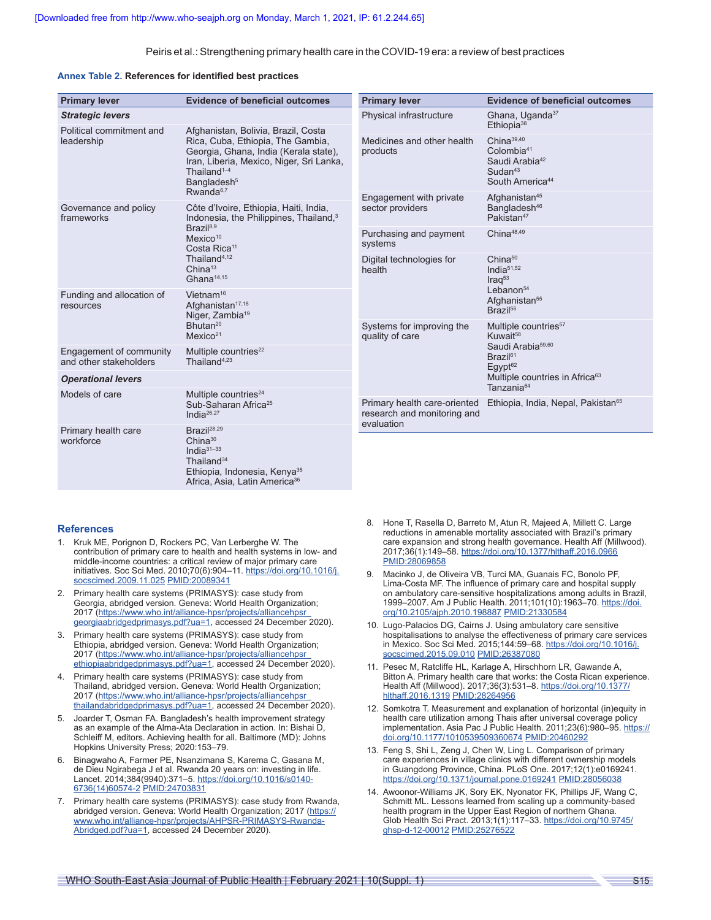#### **Annex Table 2. References for identified best practices**

| <b>Primary lever</b>                              | <b>Evidence of beneficial outcomes</b>                                                                                                                                                                                                                                          | <b>Primary lever</b>                                        | <b>Evidence of beneficial outcomes</b>                                                                                                                  |  |
|---------------------------------------------------|---------------------------------------------------------------------------------------------------------------------------------------------------------------------------------------------------------------------------------------------------------------------------------|-------------------------------------------------------------|---------------------------------------------------------------------------------------------------------------------------------------------------------|--|
| <b>Strategic levers</b>                           |                                                                                                                                                                                                                                                                                 | Physical infrastructure                                     | Ghana, Uganda <sup>37</sup><br>Ethiopia <sup>38</sup>                                                                                                   |  |
| Political commitment and<br>leadership            | Afghanistan, Bolivia, Brazil, Costa<br>Rica, Cuba, Ethiopia, The Gambia,<br>Georgia, Ghana, India (Kerala state),<br>Iran, Liberia, Mexico, Niger, Sri Lanka,<br>Thailand <sup>1-4</sup><br>Bangladesh <sup>5</sup>                                                             | Medicines and other health<br>products                      | China <sup>39,40</sup><br>Colombia <sup>41</sup><br>Saudi Arabia <sup>42</sup><br>Sudan $43$<br>South America <sup>44</sup>                             |  |
| Governance and policy<br>frameworks               | Rwanda <sup>6,7</sup><br>Côte d'Ivoire, Ethiopia, Haiti, India,<br>Indonesia, the Philippines, Thailand, <sup>3</sup><br>Brazil <sup>8,9</sup><br>Mexico <sup>10</sup><br>Costa Rica <sup>11</sup><br>Thailand <sup>4,12</sup><br>China <sup>13</sup><br>Ghana <sup>14,15</sup> | Engagement with private<br>sector providers                 | Afghanistan <sup>45</sup><br>Bangladesh <sup>46</sup><br>Pakistan <sup>47</sup>                                                                         |  |
|                                                   |                                                                                                                                                                                                                                                                                 | Purchasing and payment<br>systems                           | China <sup>48,49</sup>                                                                                                                                  |  |
|                                                   |                                                                                                                                                                                                                                                                                 | Digital technologies for<br>health                          | China <sup>50</sup><br>India <sup><math>51,52</math></sup><br>$Iraq^{53}$<br>Lebanon <sup>54</sup><br>Afghanistan <sup>55</sup><br>Brazil <sup>56</sup> |  |
| Funding and allocation of<br>resources            | Vietnam <sup>16</sup><br>Afghanistan <sup>17,18</sup><br>Niger, Zambia <sup>19</sup>                                                                                                                                                                                            |                                                             |                                                                                                                                                         |  |
|                                                   | Bhutan <sup>20</sup><br>Mexico <sup>21</sup>                                                                                                                                                                                                                                    | Systems for improving the<br>quality of care                | Multiple countries <sup>57</sup><br>Kuwait <sup>58</sup><br>Saudi Arabia <sup>59,60</sup><br>Brazil <sup>61</sup><br>$E$ qypt $62$                      |  |
| Engagement of community<br>and other stakeholders | Multiple countries <sup>22</sup><br>Thailand <sup>4,23</sup>                                                                                                                                                                                                                    |                                                             |                                                                                                                                                         |  |
| <b>Operational levers</b>                         |                                                                                                                                                                                                                                                                                 |                                                             | Multiple countries in Africa <sup>63</sup>                                                                                                              |  |
| Models of care                                    | Multiple countries <sup>24</sup><br>Sub-Saharan Africa <sup>25</sup><br>India $^{26,27}$                                                                                                                                                                                        | Primary health care-oriented<br>research and monitoring and | Tanzania <sup>64</sup><br>Ethiopia, India, Nepal, Pakistan <sup>65</sup>                                                                                |  |
| Primary health care<br>workforce                  | Brazil <sup>28,29</sup><br>$China^{30}$<br>India $31-33$<br>Thailand <sup>34</sup><br>Ethiopia, Indonesia, Kenya <sup>35</sup><br>Africa, Asia, Latin America <sup>36</sup>                                                                                                     | evaluation                                                  |                                                                                                                                                         |  |

# **References**

- 1. Kruk ME, Porignon D, Rockers PC, Van Lerberghe W. The contribution of primary care to health and health systems in low- and middle-income countries: a critical review of major primary care initiatives. Soc Sci Med. 2010;70(6):904–11. [https://doi.org/10.1016/j.](https://doi.org/10.1016/j.socscimed.2009.11.025) [socscimed.2009.11.025](https://doi.org/10.1016/j.socscimed.2009.11.025) [PMID:20089341](https://pubmed.ncbi.nlm.nih.gov/20089341/)
- 2. Primary health care systems (PRIMASYS): case study from Georgia, abridged version. Geneva: World Health Organization; 2017 ([https://www.who.int/alliance-hpsr/projects/alliancehpsr\\_](https://www.who.int/alliance-hpsr/projects/alliancehpsr_georgiaabridgedprimasys.pdf?ua=1) [georgiaabridgedprimasys.pdf?ua=1](https://www.who.int/alliance-hpsr/projects/alliancehpsr_georgiaabridgedprimasys.pdf?ua=1), accessed 24 December 2020).
- 3. Primary health care systems (PRIMASYS): case study from Ethiopia, abridged version. Geneva: World Health Organization; 2017 ([https://www.who.int/alliance-hpsr/projects/alliancehpsr\\_](https://www.who.int/alliance-hpsr/projects/alliancehpsr_ethiopiaabridgedprimasys.pdf?ua=1) [ethiopiaabridgedprimasys.pdf?ua=1,](https://www.who.int/alliance-hpsr/projects/alliancehpsr_ethiopiaabridgedprimasys.pdf?ua=1) accessed 24 December 2020).
- 4. Primary health care systems (PRIMASYS): case study from Thailand, abridged version. Geneva: World Health Organization; 2017 ([https://www.who.int/alliance-hpsr/projects/alliancehpsr\\_](https://www.who.int/alliance-hpsr/projects/alliancehpsr_thailandabridgedprimasys.pdf?ua=1) [thailandabridgedprimasys.pdf?ua=1,](https://www.who.int/alliance-hpsr/projects/alliancehpsr_thailandabridgedprimasys.pdf?ua=1) accessed 24 December 2020).
- 5. Joarder T, Osman FA. Bangladesh's health improvement strategy as an example of the Alma-Ata Declaration in action. In: Bishai D, Schleiff M, editors. Achieving health for all. Baltimore (MD): Johns Hopkins University Press; 2020:153–79.
- 6. Binagwaho A, Farmer PE, Nsanzimana S, Karema C, Gasana M, de Dieu Ngirabega J et al. Rwanda 20 years on: investing in life. Lancet. 2014;384(9940):371-5. [https://doi.org/10.1016/s0140-](https://doi.org/10.1016/s0140-6736(14)60574-2) [6736\(14\)60574-2](https://doi.org/10.1016/s0140-6736(14)60574-2) [PMID:24703831](https://pubmed.ncbi.nlm.nih.gov/24703831/)
- 7. Primary health care systems (PRIMASYS): case study from Rwanda, abridged version. Geneva: World Health Organization; 2017 ([https://](https://www.who.int/alliance-hpsr/projects/AHPSR-PRIMASYS-Rwanda-Abridged.pdf?ua=1) [www.who.int/alliance-hpsr/projects/AHPSR-PRIMASYS-Rwanda-](https://www.who.int/alliance-hpsr/projects/AHPSR-PRIMASYS-Rwanda-Abridged.pdf?ua=1)[Abridged.pdf?ua=1](https://www.who.int/alliance-hpsr/projects/AHPSR-PRIMASYS-Rwanda-Abridged.pdf?ua=1), accessed 24 December 2020).
- 8. Hone T, Rasella D, Barreto M, Atun R, Majeed A, Millett C. Large reductions in amenable mortality associated with Brazil's primary care expansion and strong health governance. Health Aff (Millwood). 2017;36(1):149–58.<https://doi.org/10.1377/hlthaff.2016.0966> [PMID:28069858](https://pubmed.ncbi.nlm.nih.gov/28069858/)
- 9. Macinko J, de Oliveira VB, Turci MA, Guanais FC, Bonolo PF, Lima-Costa MF. The influence of primary care and hospital supply on ambulatory care-sensitive hospitalizations among adults in Brazil, 1999–2007. Am J Public Health. 2011;101(10):1963–70. [https://doi.](https://doi.org/10.2105/ajph.2010.198887) [org/10.2105/ajph.2010.198887](https://doi.org/10.2105/ajph.2010.198887) [PMID:21330584](https://pubmed.ncbi.nlm.nih.gov/21330584/)
- 10. Lugo-Palacios DG, Cairns J. Using ambulatory care sensitive hospitalisations to analyse the effectiveness of primary care services in Mexico. Soc Sci Med. 2015;144:59–68. [https://doi.org/10.1016/j.](https://doi.org/10.1016/j.socscimed.2015.09.010) [socscimed.2015.09.010](https://doi.org/10.1016/j.socscimed.2015.09.010) [PMID:26387080](https://pubmed.ncbi.nlm.nih.gov/26387080/)
- 11. Pesec M, Ratcliffe HL, Karlage A, Hirschhorn LR, Gawande A, Bitton A. Primary health care that works: the Costa Rican experience. Health Aff (Millwood). 2017;36(3):531–8. [https://doi.org/10.1377/](https://doi.org/10.1377/hlthaff.2016.1319) [hlthaff.2016.1319](https://doi.org/10.1377/hlthaff.2016.1319) [PMID:28264956](https://pubmed.ncbi.nlm.nih.gov/28264956/)
- 12. Somkotra T. Measurement and explanation of horizontal (in)equity in health care utilization among Thais after universal coverage policy implementation. Asia Pac J Public Health. 2011;23(6):980–95. [https://](https://doi.org/10.1177/1010539509360674) [doi.org/10.1177/1010539509360674](https://doi.org/10.1177/1010539509360674) [PMID:20460292](https://pubmed.ncbi.nlm.nih.gov/20460292/)
- 13. Feng S, Shi L, Zeng J, Chen W, Ling L. Comparison of primary care experiences in village clinics with different ownership models in Guangdong Province, China. PLoS One. 2017;12(1):e0169241. <https://doi.org/10.1371/journal.pone.0169241> [PMID:28056038](https://pubmed.ncbi.nlm.nih.gov/28056038/)
- 14. Awoonor-Williams JK, Sory EK, Nyonator FK, Phillips JF, Wang C, Schmitt ML. Lessons learned from scaling up a community-based health program in the Upper East Region of northern Ghana. Glob Health Sci Pract. 2013;1(1):117–33. [https://doi.org/10.9745/](https://doi.org/10.9745/ghsp-d-12-00012) [ghsp-d-12-00012](https://doi.org/10.9745/ghsp-d-12-00012) [PMID:25276522](https://pubmed.ncbi.nlm.nih.gov/25276522/)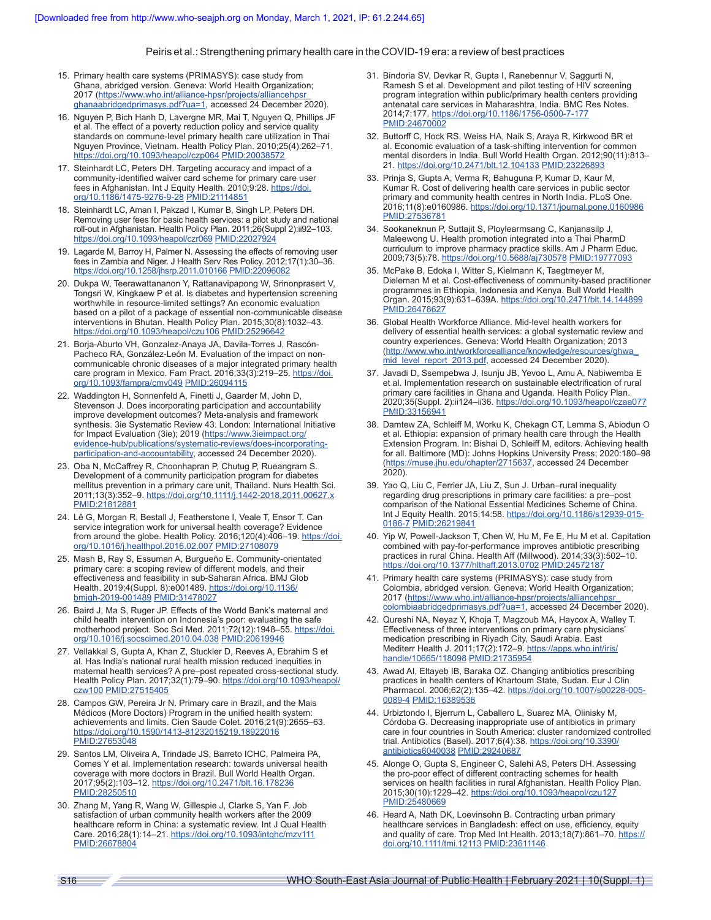- 15. Primary health care systems (PRIMASYS): case study from Ghana, abridged version. Geneva: World Health Organization; 2017 (https://www.who.int/alliance-hpsr/projects/alliancehpsr [ghanaabridgedprimasys.pdf?ua=1](https://www.who.int/alliance-hpsr/projects/alliancehpsr_ghanaabridgedprimasys.pdf?ua=1), accessed 24 December 2020).
- 16. Nguyen P, Bich Hanh D, Lavergne MR, Mai T, Nguyen Q, Phillips JF et al. The effect of a poverty reduction policy and service quality standards on commune-level primary health care utilization in Thai Nguyen Province, Vietnam. Health Policy Plan. 2010;25(4):262–71. <https://doi.org/10.1093/heapol/czp064> [PMID:20038572](https://pubmed.ncbi.nlm.nih.gov/20038572/)
- 17. Steinhardt LC, Peters DH. Targeting accuracy and impact of a community-identified waiver card scheme for primary care user fees in Afghanistan. Int J Equity Health. 2010;9:28. [https://doi.](https://doi.org/10.1186/1475-9276-9-28) [org/10.1186/1475-9276-9-28](https://doi.org/10.1186/1475-9276-9-28) [PMID:21114851](https://pubmed.ncbi.nlm.nih.gov/21114851/)
- 18. Steinhardt LC, Aman I, Pakzad I, Kumar B, Singh LP, Peters DH. Removing user fees for basic health services: a pilot study and national roll-out in Afghanistan. Health Policy Plan. 2011;26(Suppl 2):ii92–103. <https://doi.org/10.1093/heapol/czr069> [PMID:22027924](https://pubmed.ncbi.nlm.nih.gov/22027924/)
- 19. Lagarde M, Barroy H, Palmer N. Assessing the effects of removing user fees in Zambia and Niger. J Health Serv Res Policy. 2012;17(1):30–36. <https://doi.org/10.1258/jhsrp.2011.010166> [PMID:22096082](https://pubmed.ncbi.nlm.nih.gov/22096082/)
- 20. Dukpa W, Teerawattananon Y, Rattanavipapong W, Srinonprasert V, Tongsri W, Kingkaew P et al. Is diabetes and hypertension screening worthwhile in resource-limited settings? An economic evaluation based on a pilot of a package of essential non-communicable disease interventions in Bhutan. Health Policy Plan. 2015;30(8):1032–43. <https://doi.org/10.1093/heapol/czu106> [PMID:25296642](https://pubmed.ncbi.nlm.nih.gov/25296642/)
- 21. Borja-Aburto VH, Gonzalez-Anaya JA, Davila-Torres J, Rascón-Pacheco RA, González-León M. Evaluation of the impact on noncommunicable chronic diseases of a major integrated primary health care program in Mexico. Fam Pract. 2016;33(3):219-25. [https://doi.](https://doi.org/10.1093/fampra/cmv049) [org/10.1093/fampra/cmv049](https://doi.org/10.1093/fampra/cmv049) [PMID:26094115](https://pubmed.ncbi.nlm.nih.gov/26094115/)
- 22. Waddington H, Sonnenfeld A, Finetti J, Gaarder M, John D, Stevenson J. Does incorporating participation and accountability improve development outcomes? Meta-analysis and framework synthesis. 3ie Systematic Review 43. London: International Initiative for Impact Evaluation (3ie); 2019 [\(https://www.3ieimpact.org/](https://www.3ieimpact.org/evidence-hub/publications/systematic-reviews/does-incorporating-participation-and-accountability) [evidence-hub/publications/systematic-reviews/does-incorporating](https://www.3ieimpact.org/evidence-hub/publications/systematic-reviews/does-incorporating-participation-and-accountability)[participation-and-accountability](https://www.3ieimpact.org/evidence-hub/publications/systematic-reviews/does-incorporating-participation-and-accountability), accessed 24 December 2020).
- 23. Oba N, McCaffrey R, Choonhapran P, Chutug P, Rueangram S. Development of a community participation program for diabetes mellitus prevention in a primary care unit, Thailand. Nurs Health Sci. 2011;13(3):352–9.<https://doi.org/10.1111/j.1442-2018.2011.00627.x> [PMID:21812881](https://pubmed.ncbi.nlm.nih.gov/21812881/)
- 24. Lê G, Morgan R, Bestall J, Featherstone I, Veale T, Ensor T. Can service integration work for universal health coverage? Evidence from around the globe. Health Policy. 2016;120(4):406-19. [https://doi.](https://doi.org/10.1016/j.healthpol.2016.02.007) [org/10.1016/j.healthpol.2016.02.007](https://doi.org/10.1016/j.healthpol.2016.02.007) [PMID:27108079](https://pubmed.ncbi.nlm.nih.gov/27108079/)
- 25. Mash B, Ray S, Essuman A, Burgueño E. Community-orientated primary care: a scoping review of different models, and their effectiveness and feasibility in sub-Saharan Africa. BMJ Glob Health. 2019;4(Suppl. 8):e001489. [https://doi.org/10.1136/](https://doi.org/10.1136/bmjgh-2019-001489) [bmjgh-2019-001489](https://doi.org/10.1136/bmjgh-2019-001489) [PMID:31478027](https://pubmed.ncbi.nlm.nih.gov/31478027/)
- 26. Baird J, Ma S, Ruger JP. Effects of the World Bank's maternal and child health intervention on Indonesia's poor: evaluating the safe motherhood project. Soc Sci Med. 2011;72(12):1948–55. [https://doi.](https://doi.org/10.1016/j.socscimed.2010.04.038) [org/10.1016/j.socscimed.2010.04.038](https://doi.org/10.1016/j.socscimed.2010.04.038) [PMID:20619946](https://pubmed.ncbi.nlm.nih.gov/20619946/)
- 27. Vellakkal S, Gupta A, Khan Z, Stuckler D, Reeves A, Ebrahim S et al. Has India's national rural health mission reduced inequities in maternal health services? A pre–post repeated cross-sectional study. Health Policy Plan. 2017;32(1):79–90. [https://doi.org/10.1093/heapol/](https://doi.org/10.1093/heapol/czw100) [czw100](https://doi.org/10.1093/heapol/czw100) [PMID:27515405](https://pubmed.ncbi.nlm.nih.gov/27515405/)
- 28. Campos GW, Pereira Jr N. Primary care in Brazil, and the Mais Médicos (More Doctors) Program in the unified health system: achievements and limits. Cien Saude Colet. 2016;21(9):2655–63. <https://doi.org/10.1590/1413-81232015219.18922016> [PMID:27653048](https://pubmed.ncbi.nlm.nih.gov/27653048/)
- 29. Santos LM, Oliveira A, Trindade JS, Barreto ICHC, Palmeira PA, Comes Y et al. Implementation research: towards universal health coverage with more doctors in Brazil. Bull World Health Organ. 2017;95(2):103–12.<https://doi.org/10.2471/blt.16.178236> [PMID:28250510](https://pubmed.ncbi.nlm.nih.gov/28250510/)
- 30. Zhang M, Yang R, Wang W, Gillespie J, Clarke S, Yan F. Job satisfaction of urban community health workers after the 2009 healthcare reform in China: a systematic review. Int J Qual Health Care. 2016;28(1):14–21.<https://doi.org/10.1093/intqhc/mzv111> [PMID:26678804](https://pubmed.ncbi.nlm.nih.gov/26678804/)
- 31. Bindoria SV, Devkar R, Gupta I, Ranebennur V, Saggurti N, Ramesh S et al. Development and pilot testing of HIV screening program integration within public/primary health centers providing antenatal care services in Maharashtra, India. BMC Res Notes. 2014;7:177.<https://doi.org/10.1186/1756-0500-7-177> [PMID:24670002](https://pubmed.ncbi.nlm.nih.gov/24670002/)
- 32. Buttorff C, Hock RS, Weiss HA, Naik S, Araya R, Kirkwood BR et al. Economic evaluation of a task-shifting intervention for common mental disorders in India. Bull World Health Organ. 2012;90(11):813– 21.<https://doi.org/10.2471/blt.12.104133> [PMID:23226893](https://pubmed.ncbi.nlm.nih.gov/23226893/)
- 33. Prinja S, Gupta A, Verma R, Bahuguna P, Kumar D, Kaur M, Kumar R. Cost of delivering health care services in public sector primary and community health centres in North India. PLoS One. 2016;11(8):e0160986.<https://doi.org/10.1371/journal.pone.0160986> [PMID:27536781](https://pubmed.ncbi.nlm.nih.gov/27536781/)
- 34. Sookaneknun P, Suttajit S, Ploylearmsang C, Kanjanasilp J, Maleewong U. Health promotion integrated into a Thai PharmD curriculum to improve pharmacy practice skills. Am J Pharm Educ. 2009;73(5):78. <https://doi.org/10.5688/aj730578> [PMID:19777093](https://pubmed.ncbi.nlm.nih.gov/19777093/)
- 35. McPake B, Edoka I, Witter S, Kielmann K, Taegtmeyer M, Dieleman M et al. Cost-effectiveness of community-based practitioner programmes in Ethiopia, Indonesia and Kenya. Bull World Health Organ. 2015;93(9):631–639A. <https://doi.org/10.2471/blt.14.144899> [PMID:26478627](https://pubmed.ncbi.nlm.nih.gov/26478627/)
- 36. Global Health Workforce Alliance. Mid-level health workers for delivery of essential health services: a global systematic review and country experiences. Geneva: World Health Organization; 2013 ([http://www.who.int/workforcealliance/knowledge/resources/ghwa\\_](http://www.who.int/workforcealliance/knowledge/resources/ghwa_mid_level_report_2013.pdf) [mid\\_level\\_report\\_2013.pdf,](http://www.who.int/workforcealliance/knowledge/resources/ghwa_mid_level_report_2013.pdf) accessed 24 December 2020).
- 37. Javadi D, Ssempebwa J, Isunju JB, Yevoo L, Amu A, Nabiwemba E et al. Implementation research on sustainable electrification of rural primary care facilities in Ghana and Uganda. Health Policy Plan. 2020;35(Suppl. 2):ii124–ii36.<https://doi.org/10.1093/heapol/czaa077> [PMID:33156941](https://pubmed.ncbi.nlm.nih.gov/33156941/)
- 38. Damtew ZA, Schleiff M, Worku K, Chekagn CT, Lemma S, Abiodun O et al. Ethiopia: expansion of primary health care through the Health Extension Program. In: Bishai D, Schleiff M, editors. Achieving health for all. Baltimore (MD): Johns Hopkins University Press; 2020:180–98 (<https://muse.jhu.edu/chapter/2715637>, accessed 24 December 2020).
- 39. Yao Q, Liu C, Ferrier JA, Liu Z, Sun J. Urban–rural inequality regarding drug prescriptions in primary care facilities: a pre–post comparison of the National Essential Medicines Scheme of China. Int J Equity Health. 2015;14:58. [https://doi.org/10.1186/s12939-015-](https://doi.org/10.1186/s12939-015-0186-7) [0186-7](https://doi.org/10.1186/s12939-015-0186-7) [PMID:26219841](https://pubmed.ncbi.nlm.nih.gov/26219841/)
- 40. Yip W, Powell-Jackson T, Chen W, Hu M, Fe E, Hu M et al. Capitation combined with pay-for-performance improves antibiotic prescribing practices in rural China. Health Aff (Millwood). 2014;33(3):502–10. <https://doi.org/10.1377/hlthaff.2013.0702> [PMID:24572187](https://pubmed.ncbi.nlm.nih.gov/24572187/)
- 41. Primary health care systems (PRIMASYS): case study from Colombia, abridged version. Geneva: World Health Organization; 2017 ([https://www.who.int/alliance-hpsr/projects/alliancehpsr\\_](https://www.who.int/alliance-hpsr/projects/alliancehpsr_colombiaabridgedprimasys.pdf?ua=1) [colombiaabridgedprimasys.pdf?ua=1,](https://www.who.int/alliance-hpsr/projects/alliancehpsr_colombiaabridgedprimasys.pdf?ua=1) accessed 24 December 2020).
- 42. Qureshi NA, Neyaz Y, Khoja T, Magzoub MA, Haycox A, Walley T. Effectiveness of three interventions on primary care physicians' medication prescribing in Riyadh City, Saudi Arabia. East Mediterr Health J. 2011;17(2):172-9. [https://apps.who.int/iris/](https://apps.who.int/iris/handle/10665/118098) [handle/10665/118098](https://apps.who.int/iris/handle/10665/118098) [PMID:21735954](https://pubmed.ncbi.nlm.nih.gov/21735954/)
- 43. Awad AI, Eltayeb IB, Baraka OZ. Changing antibiotics prescribing practices in health centers of Khartoum State, Sudan. Eur J Clin Pharmacol. 2006;62(2):135–42. [https://doi.org/10.1007/s00228-005-](https://doi.org/10.1007/s00228-005-0089-4) [0089-4](https://doi.org/10.1007/s00228-005-0089-4) [PMID:16389536](https://pubmed.ncbi.nlm.nih.gov/16389536/)
- 44. Urbiztondo I, Bjerrum L, Caballero L, Suarez MA, Olinisky M, Córdoba G. Decreasing inappropriate use of antibiotics in primary care in four countries in South America: cluster randomized controlled trial. Antibiotics (Basel). 2017;6(4):38. [https://doi.org/10.3390/](https://doi.org/10.3390/antibiotics6040038) [antibiotics6040038](https://doi.org/10.3390/antibiotics6040038) [PMID:29240687](https://pubmed.ncbi.nlm.nih.gov/29240687/)
- 45. Alonge O, Gupta S, Engineer C, Salehi AS, Peters DH. Assessing the pro-poor effect of different contracting schemes for health services on health facilities in rural Afghanistan. Health Policy Plan. 2015;30(10):1229–42. <https://doi.org/10.1093/heapol/czu127> [PMID:25480669](https://pubmed.ncbi.nlm.nih.gov/25480669/)
- 46. Heard A, Nath DK, Loevinsohn B. Contracting urban primary healthcare services in Bangladesh: effect on use, efficiency, equity and quality of care. Trop Med Int Health. 2013;18(7):861–70. [https://](https://doi.org/10.1111/tmi.12113) [doi.org/10.1111/tmi.12113](https://doi.org/10.1111/tmi.12113) [PMID:23611146](https://pubmed.ncbi.nlm.nih.gov/23611146/)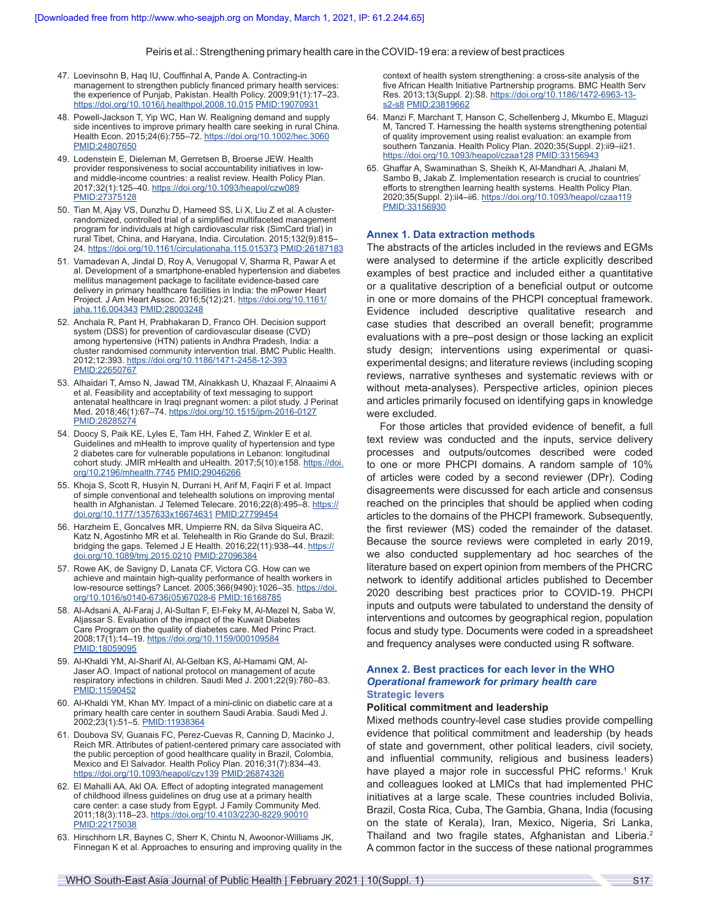- 47. Loevinsohn B, Haq IU, Couffinhal A, Pande A. Contracting-in management to strengthen publicly financed primary health services: the experience of Punjab, Pakistan. Health Policy. 2009;91(1):17–23. <https://doi.org/10.1016/j.healthpol.2008.10.015> [PMID:19070931](https://pubmed.ncbi.nlm.nih.gov/19070931/)
- 48. Powell-Jackson T, Yip WC, Han W. Realigning demand and supply side incentives to improve primary health care seeking in rural China. Health Econ. 2015;24(6):755–72.<https://doi.org/10.1002/hec.3060> [PMID:24807650](https://pubmed.ncbi.nlm.nih.gov/24807650/)
- 49. Lodenstein E, Dieleman M, Gerretsen B, Broerse JEW. Health provider responsiveness to social accountability initiatives in lowand middle-income countries: a realist review. Health Policy Plan. 2017;32(1):125–40.<https://doi.org/10.1093/heapol/czw089> [PMID:27375128](https://pubmed.ncbi.nlm.nih.gov/27375128/)
- 50. Tian M, Ajay VS, Dunzhu D, Hameed SS, Li X, Liu Z et al. A clusterrandomized, controlled trial of a simplified multifaceted management program for individuals at high cardiovascular risk (SimCard trial) in rural Tibet, China, and Haryana, India. Circulation. 2015;132(9):815– 24.<https://doi.org/10.1161/circulationaha.115.015373> [PMID:26187183](https://pubmed.ncbi.nlm.nih.gov/26187183/)
- 51. Vamadevan A, Jindal D, Roy A, Venugopal V, Sharma R, Pawar A et al. Development of a smartphone-enabled hypertension and diabetes mellitus management package to facilitate evidence-based care delivery in primary healthcare facilities in India: the mPower Heart Project. J Am Heart Assoc. 2016;5(12):21. [https://doi.org/10.1161/](https://doi.org/10.1161/jaha.116.004343) [jaha.116.004343](https://doi.org/10.1161/jaha.116.004343) [PMID:28003248](https://pubmed.ncbi.nlm.nih.gov/28003248/)
- 52. Anchala R, Pant H, Prabhakaran D, Franco OH. Decision support system (DSS) for prevention of cardiovascular disease (CVD) among hypertensive (HTN) patients in Andhra Pradesh, India: a cluster randomised community intervention trial. BMC Public Health. 2012;12:393.<https://doi.org/10.1186/1471-2458-12-393> [PMID:22650767](https://pubmed.ncbi.nlm.nih.gov/22650767/)
- 53. Alhaidari T, Amso N, Jawad TM, Alnakkash U, Khazaal F, Alnaaimi A et al. Feasibility and acceptability of text messaging to support antenatal healthcare in Iraqi pregnant women: a pilot study. J Perinat Med. 2018;46(1):67–74. <https://doi.org/10.1515/jpm-2016-0127> [PMID:28285274](https://pubmed.ncbi.nlm.nih.gov/28285274/)
- 54. Doocy S, Paik KE, Lyles E, Tam HH, Fahed Z, Winkler E et al. Guidelines and mHealth to improve quality of hypertension and type 2 diabetes care for vulnerable populations in Lebanon: longitudinal cohort study. JMIR mHealth and uHealth. 2017;5(10):e158. [https://doi.](https://doi.org/10.2196/mhealth.7745) [org/10.2196/mhealth.7745](https://doi.org/10.2196/mhealth.7745) [PMID:29046266](https://pubmed.ncbi.nlm.nih.gov/29046266/)
- 55. Khoja S, Scott R, Husyin N, Durrani H, Arif M, Faqiri F et al. Impact of simple conventional and telehealth solutions on improving mental health in Afghanistan. J Telemed Telecare. 2016;22(8):495-8. [https://](https://doi.org/10.1177/1357633x16674631) [doi.org/10.1177/1357633x16674631](https://doi.org/10.1177/1357633x16674631) [PMID:27799454](https://pubmed.ncbi.nlm.nih.gov/27799454/)
- 56. Harzheim E, Goncalves MR, Umpierre RN, da Silva Siqueira AC, Katz N, Agostinho MR et al. Telehealth in Rio Grande do Sul, Brazil: bridging the gaps. Telemed J E Health. 2016;22(11):938–44. [https://](https://doi.org/10.1089/tmj.2015.0210) [doi.org/10.1089/tmj.2015.0210](https://doi.org/10.1089/tmj.2015.0210) [PMID:27096384](https://pubmed.ncbi.nlm.nih.gov/27096384/)
- 57. Rowe AK, de Savigny D, Lanata CF, Victora CG. How can we achieve and maintain high-quality performance of health workers in low-resource settings? Lancet. 2005;366(9490):1026–35. [https://doi.](https://doi.org/10.1016/s0140-6736(05)67028-6) [org/10.1016/s0140-6736\(05\)67028-6](https://doi.org/10.1016/s0140-6736(05)67028-6) [PMID:16168785](https://pubmed.ncbi.nlm.nih.gov/16168785/)
- 58. Al-Adsani A, Al-Faraj J, Al-Sultan F, El-Feky M, Al-Mezel N, Saba W, Aljassar S. Evaluation of the impact of the Kuwait Diabetes Care Program on the quality of diabetes care. Med Princ Pract. 2008;17(1):14–19. <https://doi.org/10.1159/000109584> [PMID:18059095](https://pubmed.ncbi.nlm.nih.gov/18059095/)
- 59. Al-Khaldi YM, Al-Sharif AI, Al-Gelban KS, Al-Hamami QM, Al-Jaser AO. Impact of national protocol on management of acute respiratory infections in children. Saudi Med J. 2001;22(9):780–83. [PMID:11590452](https://pubmed.ncbi.nlm.nih.gov/11590452/)
- 60. Al-Khaldi YM, Khan MY. Impact of a mini-clinic on diabetic care at a primary health care center in southern Saudi Arabia. Saudi Med J. 2002;23(1):51–5. [PMID:11938364](https://pubmed.ncbi.nlm.nih.gov/11938364/)
- 61. Doubova SV, Guanais FC, Perez-Cuevas R, Canning D, Macinko J, Reich MR. Attributes of patient-centered primary care associated with the public perception of good healthcare quality in Brazil, Colombia, Mexico and El Salvador. Health Policy Plan. 2016;31(7):834–43. <https://doi.org/10.1093/heapol/czv139> [PMID:26874326](https://pubmed.ncbi.nlm.nih.gov/26874326/)
- 62. El Mahalli AA, Akl OA. Effect of adopting integrated management of childhood illness guidelines on drug use at a primary health care center: a case study from Egypt. J Family Community Med. 2011;18(3):118–23. <https://doi.org/10.4103/2230-8229.90010> [PMID:22175038](https://pubmed.ncbi.nlm.nih.gov/22175038/)
- 63. Hirschhorn LR, Baynes C, Sherr K, Chintu N, Awoonor-Williams JK, Finnegan K et al. Approaches to ensuring and improving quality in the

context of health system strengthening: a cross-site analysis of the five African Health Initiative Partnership programs. BMC Health Serv Res. 2013;13(Suppl. 2):S8. [https://doi.org/10.1186/1472-6963-13](https://doi.org/10.1186/1472-6963-13-s2-s8) [s2-s8](https://doi.org/10.1186/1472-6963-13-s2-s8) [PMID:23819662](https://pubmed.ncbi.nlm.nih.gov/23819662/)

- 64. Manzi F, Marchant T, Hanson C, Schellenberg J, Mkumbo E, Mlaguzi M, Tancred T. Harnessing the health systems strengthening potential of quality improvement using realist evaluation: an example from southern Tanzania. Health Policy Plan. 2020;35(Suppl. 2):ii9–ii21. <https://doi.org/10.1093/heapol/czaa128> [PMID:33156943](https://pubmed.ncbi.nlm.nih.gov/33156943/)
- 65. Ghaffar A, Swaminathan S, Sheikh K, Al-Mandhari A, Jhalani M, Sambo B, Jakab Z. Implementation research is crucial to countries' efforts to strengthen learning health systems. Health Policy Plan. 2020;35(Suppl. 2):ii4–ii6. <https://doi.org/10.1093/heapol/czaa119> [PMID:33156930](https://pubmed.ncbi.nlm.nih.gov/33156930/)

#### **Annex 1. Data extraction methods**

The abstracts of the articles included in the reviews and EGMs were analysed to determine if the article explicitly described examples of best practice and included either a quantitative or a qualitative description of a beneficial output or outcome in one or more domains of the PHCPI conceptual framework. Evidence included descriptive qualitative research and case studies that described an overall benefit; programme evaluations with a pre–post design or those lacking an explicit study design; interventions using experimental or quasiexperimental designs; and literature reviews (including scoping reviews, narrative syntheses and systematic reviews with or without meta-analyses). Perspective articles, opinion pieces and articles primarily focused on identifying gaps in knowledge were excluded.

For those articles that provided evidence of benefit, a full text review was conducted and the inputs, service delivery processes and outputs/outcomes described were coded to one or more PHCPI domains. A random sample of 10% of articles were coded by a second reviewer (DPr). Coding disagreements were discussed for each article and consensus reached on the principles that should be applied when coding articles to the domains of the PHCPI framework. Subsequently, the first reviewer (MS) coded the remainder of the dataset. Because the source reviews were completed in early 2019, we also conducted supplementary ad hoc searches of the literature based on expert opinion from members of the PHCRC network to identify additional articles published to December 2020 describing best practices prior to COVID-19. PHCPI inputs and outputs were tabulated to understand the density of interventions and outcomes by geographical region, population focus and study type. Documents were coded in a spreadsheet and frequency analyses were conducted using R software.

# **Annex 2. Best practices for each lever in the WHO**  *Operational framework for primary health care* **Strategic levers**

#### **Political commitment and leadership**

Mixed methods country-level case studies provide compelling evidence that political commitment and leadership (by heads of state and government, other political leaders, civil society, and influential community, religious and business leaders) have played a major role in successful PHC reforms.<sup>1</sup> Kruk and colleagues looked at LMICs that had implemented PHC initiatives at a large scale. These countries included Bolivia, Brazil, Costa Rica, Cuba, The Gambia, Ghana, India (focusing on the state of Kerala), Iran, Mexico, Nigeria, Sri Lanka, Thailand and two fragile states, Afghanistan and Liberia.<sup>2</sup> A common factor in the success of these national programmes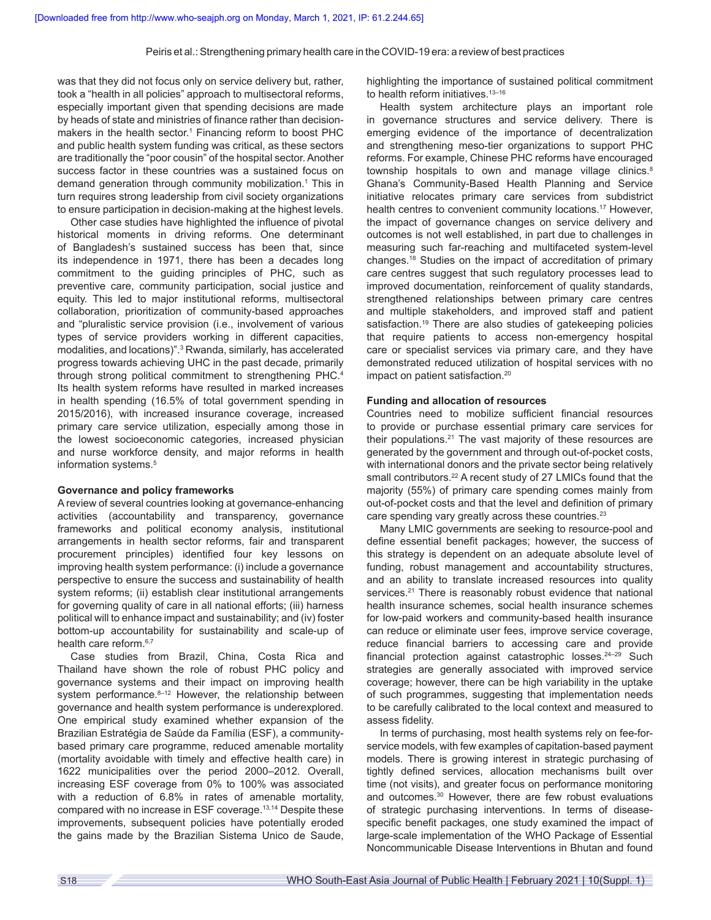was that they did not focus only on service delivery but, rather, took a "health in all policies" approach to multisectoral reforms, especially important given that spending decisions are made by heads of state and ministries of finance rather than decisionmakers in the health sector.<sup>1</sup> Financing reform to boost PHC and public health system funding was critical, as these sectors are traditionally the "poor cousin" of the hospital sector. Another success factor in these countries was a sustained focus on demand generation through community mobilization.<sup>1</sup> This in turn requires strong leadership from civil society organizations to ensure participation in decision-making at the highest levels.

Other case studies have highlighted the influence of pivotal historical moments in driving reforms. One determinant of Bangladesh's sustained success has been that, since its independence in 1971, there has been a decades long commitment to the guiding principles of PHC, such as preventive care, community participation, social justice and equity. This led to major institutional reforms, multisectoral collaboration, prioritization of community-based approaches and "pluralistic service provision (i.e., involvement of various types of service providers working in different capacities, modalities, and locations)".<sup>3</sup> Rwanda, similarly, has accelerated progress towards achieving UHC in the past decade, primarily through strong political commitment to strengthening PHC.<sup>4</sup> Its health system reforms have resulted in marked increases in health spending (16.5% of total government spending in 2015/2016), with increased insurance coverage, increased primary care service utilization, especially among those in the lowest socioeconomic categories, increased physician and nurse workforce density, and major reforms in health information systems.<sup>5</sup>

#### **Governance and policy frameworks**

A review of several countries looking at governance-enhancing activities (accountability and transparency, governance frameworks and political economy analysis, institutional arrangements in health sector reforms, fair and transparent procurement principles) identified four key lessons on improving health system performance: (i) include a governance perspective to ensure the success and sustainability of health system reforms; (ii) establish clear institutional arrangements for governing quality of care in all national efforts; (iii) harness political will to enhance impact and sustainability; and (iv) foster bottom-up accountability for sustainability and scale-up of health care reform.<sup>6,7</sup>

Case studies from Brazil, China, Costa Rica and Thailand have shown the role of robust PHC policy and governance systems and their impact on improving health system performance.<sup>8-12</sup> However, the relationship between governance and health system performance is underexplored. One empirical study examined whether expansion of the Brazilian Estratégia de Saúde da Família (ESF), a communitybased primary care programme, reduced amenable mortality (mortality avoidable with timely and effective health care) in 1622 municipalities over the period 2000–2012. Overall, increasing ESF coverage from 0% to 100% was associated with a reduction of 6.8% in rates of amenable mortality, compared with no increase in ESF coverage.13,14 Despite these improvements, subsequent policies have potentially eroded the gains made by the Brazilian Sistema Unico de Saude,

highlighting the importance of sustained political commitment to health reform initiatives.<sup>13-16</sup>

Health system architecture plays an important role in governance structures and service delivery. There is emerging evidence of the importance of decentralization and strengthening meso-tier organizations to support PHC reforms. For example, Chinese PHC reforms have encouraged township hospitals to own and manage village clinics.<sup>8</sup> Ghana's Community-Based Health Planning and Service initiative relocates primary care services from subdistrict health centres to convenient community locations.<sup>17</sup> However, the impact of governance changes on service delivery and outcomes is not well established, in part due to challenges in measuring such far-reaching and multifaceted system-level changes.18 Studies on the impact of accreditation of primary care centres suggest that such regulatory processes lead to improved documentation, reinforcement of quality standards, strengthened relationships between primary care centres and multiple stakeholders, and improved staff and patient satisfaction.<sup>19</sup> There are also studies of gatekeeping policies that require patients to access non-emergency hospital care or specialist services via primary care, and they have demonstrated reduced utilization of hospital services with no impact on patient satisfaction.<sup>20</sup>

### **Funding and allocation of resources**

Countries need to mobilize sufficient financial resources to provide or purchase essential primary care services for their populations.<sup>21</sup> The vast majority of these resources are generated by the government and through out-of-pocket costs, with international donors and the private sector being relatively small contributors.<sup>22</sup> A recent study of 27 LMICs found that the majority (55%) of primary care spending comes mainly from out-of-pocket costs and that the level and definition of primary care spending vary greatly across these countries.<sup>23</sup>

Many LMIC governments are seeking to resource-pool and define essential benefit packages; however, the success of this strategy is dependent on an adequate absolute level of funding, robust management and accountability structures, and an ability to translate increased resources into quality services.<sup>21</sup> There is reasonably robust evidence that national health insurance schemes, social health insurance schemes for low-paid workers and community-based health insurance can reduce or eliminate user fees, improve service coverage, reduce financial barriers to accessing care and provide financial protection against catastrophic losses.<sup>24–29</sup> Such strategies are generally associated with improved service coverage; however, there can be high variability in the uptake of such programmes, suggesting that implementation needs to be carefully calibrated to the local context and measured to assess fidelity.

In terms of purchasing, most health systems rely on fee-forservice models, with few examples of capitation-based payment models. There is growing interest in strategic purchasing of tightly defined services, allocation mechanisms built over time (not visits), and greater focus on performance monitoring and outcomes.<sup>30</sup> However, there are few robust evaluations of strategic purchasing interventions. In terms of diseasespecific benefit packages, one study examined the impact of large-scale implementation of the WHO Package of Essential Noncommunicable Disease Interventions in Bhutan and found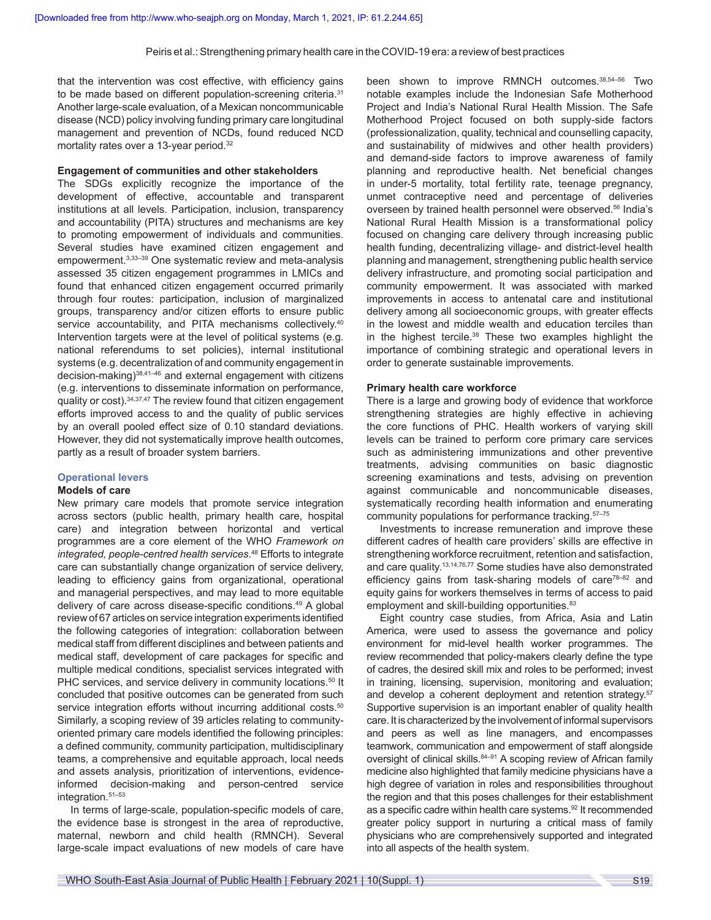that the intervention was cost effective, with efficiency gains to be made based on different population-screening criteria.<sup>31</sup> Another large-scale evaluation, of a Mexican noncommunicable disease (NCD) policy involving funding primary care longitudinal management and prevention of NCDs, found reduced NCD mortality rates over a 13-year period.<sup>32</sup>

#### **Engagement of communities and other stakeholders**

The SDGs explicitly recognize the importance of the development of effective, accountable and transparent institutions at all levels. Participation, inclusion, transparency and accountability (PITA) structures and mechanisms are key to promoting empowerment of individuals and communities. Several studies have examined citizen engagement and empowerment.3,33–39 One systematic review and meta-analysis assessed 35 citizen engagement programmes in LMICs and found that enhanced citizen engagement occurred primarily through four routes: participation, inclusion of marginalized groups, transparency and/or citizen efforts to ensure public service accountability, and PITA mechanisms collectively.<sup>40</sup> Intervention targets were at the level of political systems (e.g. national referendums to set policies), internal institutional systems (e.g. decentralization of and community engagement in decision-making)38,41–46 and external engagement with citizens (e.g. interventions to disseminate information on performance, quality or cost).34,37,47 The review found that citizen engagement efforts improved access to and the quality of public services by an overall pooled effect size of 0.10 standard deviations. However, they did not systematically improve health outcomes, partly as a result of broader system barriers.

#### **Operational levers**

# **Models of care**

New primary care models that promote service integration across sectors (public health, primary health care, hospital care) and integration between horizontal and vertical programmes are a core element of the WHO *Framework on integrated, people-centred health services*. <sup>48</sup> Efforts to integrate care can substantially change organization of service delivery, leading to efficiency gains from organizational, operational and managerial perspectives, and may lead to more equitable delivery of care across disease-specific conditions.49 A global review of 67 articles on service integration experiments identified the following categories of integration: collaboration between medical staff from different disciplines and between patients and medical staff, development of care packages for specific and multiple medical conditions, specialist services integrated with PHC services, and service delivery in community locations.<sup>50</sup> It concluded that positive outcomes can be generated from such service integration efforts without incurring additional costs.<sup>50</sup> Similarly, a scoping review of 39 articles relating to communityoriented primary care models identified the following principles: a defined community, community participation, multidisciplinary teams, a comprehensive and equitable approach, local needs and assets analysis, prioritization of interventions, evidenceinformed decision-making and person-centred service integration.51–53

In terms of large-scale, population-specific models of care, the evidence base is strongest in the area of reproductive, maternal, newborn and child health (RMNCH). Several large-scale impact evaluations of new models of care have been shown to improve RMNCH outcomes.38,54–56 Two notable examples include the Indonesian Safe Motherhood Project and India's National Rural Health Mission. The Safe Motherhood Project focused on both supply-side factors (professionalization, quality, technical and counselling capacity, and sustainability of midwives and other health providers) and demand-side factors to improve awareness of family planning and reproductive health. Net beneficial changes in under-5 mortality, total fertility rate, teenage pregnancy, unmet contraceptive need and percentage of deliveries overseen by trained health personnel were observed.<sup>56</sup> India's National Rural Health Mission is a transformational policy focused on changing care delivery through increasing public health funding, decentralizing village- and district-level health planning and management, strengthening public health service delivery infrastructure, and promoting social participation and community empowerment. It was associated with marked improvements in access to antenatal care and institutional delivery among all socioeconomic groups, with greater effects in the lowest and middle wealth and education terciles than in the highest tercile.<sup>38</sup> These two examples highlight the importance of combining strategic and operational levers in order to generate sustainable improvements.

#### **Primary health care workforce**

There is a large and growing body of evidence that workforce strengthening strategies are highly effective in achieving the core functions of PHC. Health workers of varying skill levels can be trained to perform core primary care services such as administering immunizations and other preventive treatments, advising communities on basic diagnostic screening examinations and tests, advising on prevention against communicable and noncommunicable diseases, systematically recording health information and enumerating community populations for performance tracking.57–75

Investments to increase remuneration and improve these different cadres of health care providers' skills are effective in strengthening workforce recruitment, retention and satisfaction, and care quality.13,14,76,77 Some studies have also demonstrated efficiency gains from task-sharing models of care<sup>78–82</sup> and equity gains for workers themselves in terms of access to paid employment and skill-building opportunities.<sup>83</sup>

Eight country case studies, from Africa, Asia and Latin America, were used to assess the governance and policy environment for mid-level health worker programmes. The review recommended that policy-makers clearly define the type of cadres, the desired skill mix and roles to be performed; invest in training, licensing, supervision, monitoring and evaluation; and develop a coherent deployment and retention strategy.<sup>57</sup> Supportive supervision is an important enabler of quality health care. It is characterized by the involvement of informal supervisors and peers as well as line managers, and encompasses teamwork, communication and empowerment of staff alongside oversight of clinical skills. 84-91 A scoping review of African family medicine also highlighted that family medicine physicians have a high degree of variation in roles and responsibilities throughout the region and that this poses challenges for their establishment as a specific cadre within health care systems.<sup>92</sup> It recommended greater policy support in nurturing a critical mass of family physicians who are comprehensively supported and integrated into all aspects of the health system.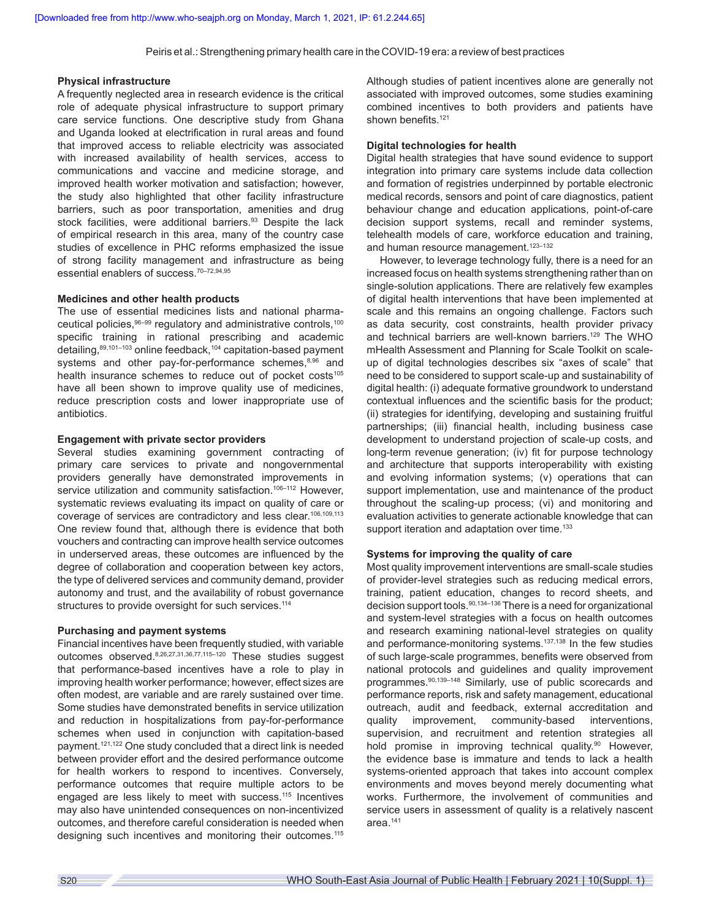### **Physical infrastructure**

A frequently neglected area in research evidence is the critical role of adequate physical infrastructure to support primary care service functions. One descriptive study from Ghana and Uganda looked at electrification in rural areas and found that improved access to reliable electricity was associated with increased availability of health services, access to communications and vaccine and medicine storage, and improved health worker motivation and satisfaction; however, the study also highlighted that other facility infrastructure barriers, such as poor transportation, amenities and drug stock facilities, were additional barriers.<sup>93</sup> Despite the lack of empirical research in this area, many of the country case studies of excellence in PHC reforms emphasized the issue of strong facility management and infrastructure as being essential enablers of success.70–72,94,95

# **Medicines and other health products**

The use of essential medicines lists and national pharmaceutical policies, <sup>96–99</sup> regulatory and administrative controls,<sup>100</sup> specific training in rational prescribing and academic detailing, 89,101-103 online feedback, 104 capitation-based payment systems and other pay-for-performance schemes,<sup>8,96</sup> and health insurance schemes to reduce out of pocket costs<sup>105</sup> have all been shown to improve quality use of medicines, reduce prescription costs and lower inappropriate use of antibiotics.

# **Engagement with private sector providers**

Several studies examining government contracting of primary care services to private and nongovernmental providers generally have demonstrated improvements in service utilization and community satisfaction.<sup>106-112</sup> However, systematic reviews evaluating its impact on quality of care or coverage of services are contradictory and less clear.106,109,113 One review found that, although there is evidence that both vouchers and contracting can improve health service outcomes in underserved areas, these outcomes are influenced by the degree of collaboration and cooperation between key actors, the type of delivered services and community demand, provider autonomy and trust, and the availability of robust governance structures to provide oversight for such services.<sup>114</sup>

# **Purchasing and payment systems**

Financial incentives have been frequently studied, with variable outcomes observed.8,26,27,31,36,77,115–120 These studies suggest that performance-based incentives have a role to play in improving health worker performance; however, effect sizes are often modest, are variable and are rarely sustained over time. Some studies have demonstrated benefits in service utilization and reduction in hospitalizations from pay-for-performance schemes when used in conjunction with capitation-based payment.121,122 One study concluded that a direct link is needed between provider effort and the desired performance outcome for health workers to respond to incentives. Conversely, performance outcomes that require multiple actors to be engaged are less likely to meet with success.115 Incentives may also have unintended consequences on non-incentivized outcomes, and therefore careful consideration is needed when designing such incentives and monitoring their outcomes.<sup>115</sup> Although studies of patient incentives alone are generally not associated with improved outcomes, some studies examining combined incentives to both providers and patients have shown benefits.<sup>121</sup>

# **Digital technologies for health**

Digital health strategies that have sound evidence to support integration into primary care systems include data collection and formation of registries underpinned by portable electronic medical records, sensors and point of care diagnostics, patient behaviour change and education applications, point-of-care decision support systems, recall and reminder systems, telehealth models of care, workforce education and training, and human resource management.<sup>123-132</sup>

However, to leverage technology fully, there is a need for an increased focus on health systems strengthening rather than on single-solution applications. There are relatively few examples of digital health interventions that have been implemented at scale and this remains an ongoing challenge. Factors such as data security, cost constraints, health provider privacy and technical barriers are well-known barriers.<sup>129</sup> The WHO mHealth Assessment and Planning for Scale Toolkit on scaleup of digital technologies describes six "axes of scale" that need to be considered to support scale-up and sustainability of digital health: (i) adequate formative groundwork to understand contextual influences and the scientific basis for the product; (ii) strategies for identifying, developing and sustaining fruitful partnerships; (iii) financial health, including business case development to understand projection of scale-up costs, and long-term revenue generation; (iv) fit for purpose technology and architecture that supports interoperability with existing and evolving information systems; (v) operations that can support implementation, use and maintenance of the product throughout the scaling-up process; (vi) and monitoring and evaluation activities to generate actionable knowledge that can support iteration and adaptation over time.<sup>133</sup>

# **Systems for improving the quality of care**

Most quality improvement interventions are small-scale studies of provider-level strategies such as reducing medical errors, training, patient education, changes to record sheets, and decision support tools.<sup>90,134–136</sup> There is a need for organizational and system-level strategies with a focus on health outcomes and research examining national-level strategies on quality and performance-monitoring systems.<sup>137,138</sup> In the few studies of such large-scale programmes, benefits were observed from national protocols and guidelines and quality improvement programmes.90,139–148 Similarly, use of public scorecards and performance reports, risk and safety management, educational outreach, audit and feedback, external accreditation and quality improvement, community-based interventions, supervision, and recruitment and retention strategies all hold promise in improving technical quality.<sup>90</sup> However, the evidence base is immature and tends to lack a health systems-oriented approach that takes into account complex environments and moves beyond merely documenting what works. Furthermore, the involvement of communities and service users in assessment of quality is a relatively nascent area.<sup>141</sup>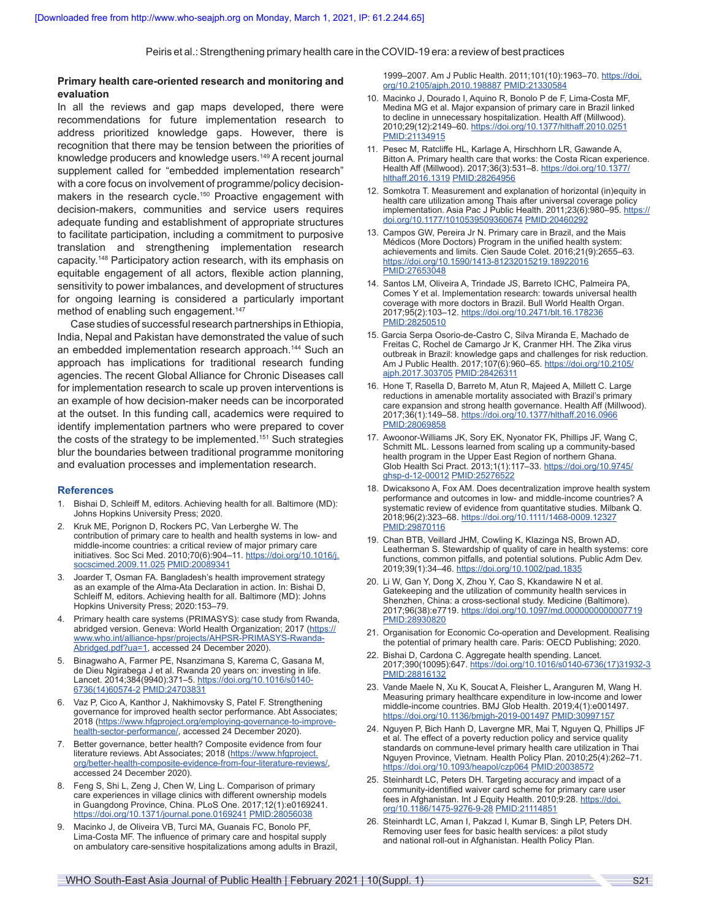# **Primary health care-oriented research and monitoring and evaluation**

In all the reviews and gap maps developed, there were recommendations for future implementation research to address prioritized knowledge gaps. However, there is recognition that there may be tension between the priorities of knowledge producers and knowledge users.149 A recent journal supplement called for "embedded implementation research" with a core focus on involvement of programme/policy decisionmakers in the research cycle.<sup>150</sup> Proactive engagement with decision-makers, communities and service users requires adequate funding and establishment of appropriate structures to facilitate participation, including a commitment to purposive translation and strengthening implementation research capacity.148 Participatory action research, with its emphasis on equitable engagement of all actors, flexible action planning, sensitivity to power imbalances, and development of structures for ongoing learning is considered a particularly important method of enabling such engagement.<sup>147</sup>

Case studies of successful research partnerships in Ethiopia, India, Nepal and Pakistan have demonstrated the value of such an embedded implementation research approach.144 Such an approach has implications for traditional research funding agencies. The recent Global Alliance for Chronic Diseases call for implementation research to scale up proven interventions is an example of how decision-maker needs can be incorporated at the outset. In this funding call, academics were required to identify implementation partners who were prepared to cover the costs of the strategy to be implemented.<sup>151</sup> Such strategies blur the boundaries between traditional programme monitoring and evaluation processes and implementation research.

#### **References**

- 1. Bishai D, Schleiff M, editors. Achieving health for all. Baltimore (MD): Johns Hopkins University Press; 2020.
- 2. Kruk ME, Porignon D, Rockers PC, Van Lerberghe W. The contribution of primary care to health and health systems in low- and middle-income countries: a critical review of major primary care initiatives. Soc Sci Med. 2010;70(6):904–11. [https://doi.org/10.1016/j.](https://doi.org/10.1016/j.socscimed.2009.11.025) [socscimed.2009.11.025](https://doi.org/10.1016/j.socscimed.2009.11.025) [PMID:20089341](https://pubmed.ncbi.nlm.nih.gov/20089341/)
- 3. Joarder T, Osman FA. Bangladesh's health improvement strategy as an example of the Alma-Ata Declaration in action. In: Bishai D, Schleiff M, editors. Achieving health for all. Baltimore (MD): Johns Hopkins University Press; 2020:153-79.
- 4. Primary health care systems (PRIMASYS): case study from Rwanda, abridged version. Geneva: World Health Organization; 2017 ([https://](https://www.who.int/alliance-hpsr/projects/AHPSR-PRIMASYS-Rwanda-Abridged.pdf?ua=1) [www.who.int/alliance-hpsr/projects/AHPSR-PRIMASYS-Rwanda-](https://www.who.int/alliance-hpsr/projects/AHPSR-PRIMASYS-Rwanda-Abridged.pdf?ua=1)[Abridged.pdf?ua=1](https://www.who.int/alliance-hpsr/projects/AHPSR-PRIMASYS-Rwanda-Abridged.pdf?ua=1), accessed 24 December 2020).
- 5. Binagwaho A, Farmer PE, Nsanzimana S, Karema C, Gasana M, de Dieu Ngirabega J et al. Rwanda 20 years on: investing in life. Lancet. 2014;384(9940):371–5. [https://doi.org/10.1016/s0140-](https://doi.org/10.1016/s0140-6736(14)60574-2) [6736\(14\)60574-2](https://doi.org/10.1016/s0140-6736(14)60574-2) [PMID:24703831](https://pubmed.ncbi.nlm.nih.gov/24703831/)
- 6. Vaz P, Cico A, Kanthor J, Nakhimovsky S, Patel F. Strengthening governance for improved health sector performance. Abt Associates; 2018 ([https://www.hfgproject.org/employing-governance-to-improve](https://www.hfgproject.org/employing-governance-to-improve-health-sector-performance/)[health-sector-performance/,](https://www.hfgproject.org/employing-governance-to-improve-health-sector-performance/) accessed 24 December 2020).
- 7. Better governance, better health? Composite evidence from four literature reviews. Abt Associates; 2018 ([https://www.hfgproject.](https://www.hfgproject.org/better-health-composite-evidence-from-four-literature-reviews/) [org/better-health-composite-evidence-from-four-literature-reviews/](https://www.hfgproject.org/better-health-composite-evidence-from-four-literature-reviews/), accessed 24 December 2020).
- 8. Feng S, Shi L, Zeng J, Chen W, Ling L. Comparison of primary care experiences in village clinics with different ownership models in Guangdong Province, China. PLoS One. 2017;12(1):e0169241. <https://doi.org/10.1371/journal.pone.0169241> [PMID:28056038](https://pubmed.ncbi.nlm.nih.gov/28056038/)
- 9. Macinko J, de Oliveira VB, Turci MA, Guanais FC, Bonolo PF, Lima-Costa MF. The influence of primary care and hospital supply on ambulatory care-sensitive hospitalizations among adults in Brazil,

1999–2007. Am J Public Health. 2011;101(10):1963–70. [https://doi.](https://doi.org/10.2105/ajph.2010.198887) [org/10.2105/ajph.2010.198887](https://doi.org/10.2105/ajph.2010.198887) [PMID:21330584](https://pubmed.ncbi.nlm.nih.gov/21330584/)

- 10. Macinko J, Dourado I, Aquino R, Bonolo P de F, Lima-Costa MF, Medina MG et al. Major expansion of primary care in Brazil linked to decline in unnecessary hospitalization. Health Aff (Millwood). 2010;29(12):2149–60. <https://doi.org/10.1377/hlthaff.2010.0251> [PMID:21134915](https://pubmed.ncbi.nlm.nih.gov/21134915/)
- 11. Pesec M, Ratcliffe HL, Karlage A, Hirschhorn LR, Gawande A, Bitton A. Primary health care that works: the Costa Rican experience. Health Aff (Millwood). 2017;36(3):531–8. [https://doi.org/10.1377/](https://doi.org/10.1377/hlthaff.2016.1319) [hlthaff.2016.1319](https://doi.org/10.1377/hlthaff.2016.1319) [PMID:28264956](https://pubmed.ncbi.nlm.nih.gov/28264956/)
- 12. Somkotra T. Measurement and explanation of horizontal (in)equity in health care utilization among Thais after universal coverage policy implementation. Asia Pac J Public Health. 2011;23(6):980-95. [https://](https://doi.org/10.1177/1010539509360674) [doi.org/10.1177/1010539509360674](https://doi.org/10.1177/1010539509360674) [PMID:20460292](https://pubmed.ncbi.nlm.nih.gov/20460292/)
- 13. Campos GW, Pereira Jr N. Primary care in Brazil, and the Mais Médicos (More Doctors) Program in the unified health system: achievements and limits. Cien Saude Colet. 2016;21(9):2655–63. <https://doi.org/10.1590/1413-81232015219.18922016> [PMID:27653048](https://pubmed.ncbi.nlm.nih.gov/27653048/)
- 14. Santos LM, Oliveira A, Trindade JS, Barreto ICHC, Palmeira PA, Comes Y et al. Implementation research: towards universal health coverage with more doctors in Brazil. Bull World Health Organ. 2017;95(2):103–12.<https://doi.org/10.2471/blt.16.178236> [PMID:28250510](https://pubmed.ncbi.nlm.nih.gov/28250510/)
- 15. Garcia Serpa Osorio-de-Castro C, Silva Miranda E, Machado de Freitas C, Rochel de Camargo Jr K, Cranmer HH. The Zika virus outbreak in Brazil: knowledge gaps and challenges for risk reduction. Am J Public Health. 2017;107(6):960–65. [https://doi.org/10.2105/](https://doi.org/10.2105/ajph.2017.303705) [ajph.2017.303705](https://doi.org/10.2105/ajph.2017.303705) [PMID:28426311](https://pubmed.ncbi.nlm.nih.gov/28426311/)
- 16. Hone T, Rasella D, Barreto M, Atun R, Majeed A, Millett C. Large reductions in amenable mortality associated with Brazil's primary care expansion and strong health governance. Health Aff (Millwood). 2017;36(1):149–58.<https://doi.org/10.1377/hlthaff.2016.0966> [PMID:28069858](https://pubmed.ncbi.nlm.nih.gov/28069858/)
- 17. Awoonor-Williams JK, Sory EK, Nyonator FK, Phillips JF, Wang C, Schmitt ML. Lessons learned from scaling up a community-based health program in the Upper East Region of northern Ghana. Glob Health Sci Pract. 2013;1(1):117–33. [https://doi.org/10.9745/](https://doi.org/10.9745/ghsp-d-12-00012) [ghsp-d-12-00012](https://doi.org/10.9745/ghsp-d-12-00012) [PMID:25276522](https://pubmed.ncbi.nlm.nih.gov/25276522/)
- 18. Dwicaksono A, Fox AM. Does decentralization improve health system performance and outcomes in low- and middle-income countries? A systematic review of evidence from quantitative studies. Milbank Q. 2018;96(2):323–68.<https://doi.org/10.1111/1468-0009.12327> [PMID:29870116](https://pubmed.ncbi.nlm.nih.gov/29870116/)
- 19. Chan BTB, Veillard JHM, Cowling K, Klazinga NS, Brown AD, Leatherman S. Stewardship of quality of care in health systems: core functions, common pitfalls, and potential solutions. Public Adm Dev. 2019;39(1):34–46.<https://doi.org/10.1002/pad.1835>
- 20. Li W, Gan Y, Dong X, Zhou Y, Cao S, Kkandawire N et al. Gatekeeping and the utilization of community health services in Shenzhen, China: a cross-sectional study. Medicine (Baltimore). 2017;96(38):e7719.<https://doi.org/10.1097/md.0000000000007719> [PMID:28930820](https://pubmed.ncbi.nlm.nih.gov/28930820/)
- 21. Organisation for Economic Co-operation and Development. Realising the potential of primary health care. Paris: OECD Publishing; 2020.
- 22. Bishai D, Cardona C. Aggregate health spending. Lancet. 2017;390(10095):647. [https://doi.org/10.1016/s0140-6736\(17\)31932-3](https://doi.org/10.1016/s0140-6736(17)31932-3) [PMID:28816132](https://pubmed.ncbi.nlm.nih.gov/28816132/)
- 23. Vande Maele N, Xu K, Soucat A, Fleisher L, Aranguren M, Wang H. Measuring primary healthcare expenditure in low-income and lower middle-income countries. BMJ Glob Health. 2019;4(1):e001497. <https://doi.org/10.1136/bmjgh-2019-001497> [PMID:30997157](https://pubmed.ncbi.nlm.nih.gov/30997157/)
- 24. Nguyen P, Bich Hanh D, Lavergne MR, Mai T, Nguyen Q, Phillips JF et al. The effect of a poverty reduction policy and service quality standards on commune-level primary health care utilization in Thai Nguyen Province, Vietnam. Health Policy Plan. 2010;25(4):262–71. <https://doi.org/10.1093/heapol/czp064> [PMID:20038572](https://pubmed.ncbi.nlm.nih.gov/20038572/)
- 25. Steinhardt LC, Peters DH. Targeting accuracy and impact of a community-identified waiver card scheme for primary care user fees in Afghanistan. Int J Equity Health. 2010;9:28. [https://doi.](https://doi.org/10.1186/1475-9276-9-28) [org/10.1186/1475-9276-9-28](https://doi.org/10.1186/1475-9276-9-28) [PMID:21114851](https://pubmed.ncbi.nlm.nih.gov/21114851/)
- 26. Steinhardt LC, Aman I, Pakzad I, Kumar B, Singh LP, Peters DH. Removing user fees for basic health services: a pilot study and national roll-out in Afghanistan. Health Policy Plan.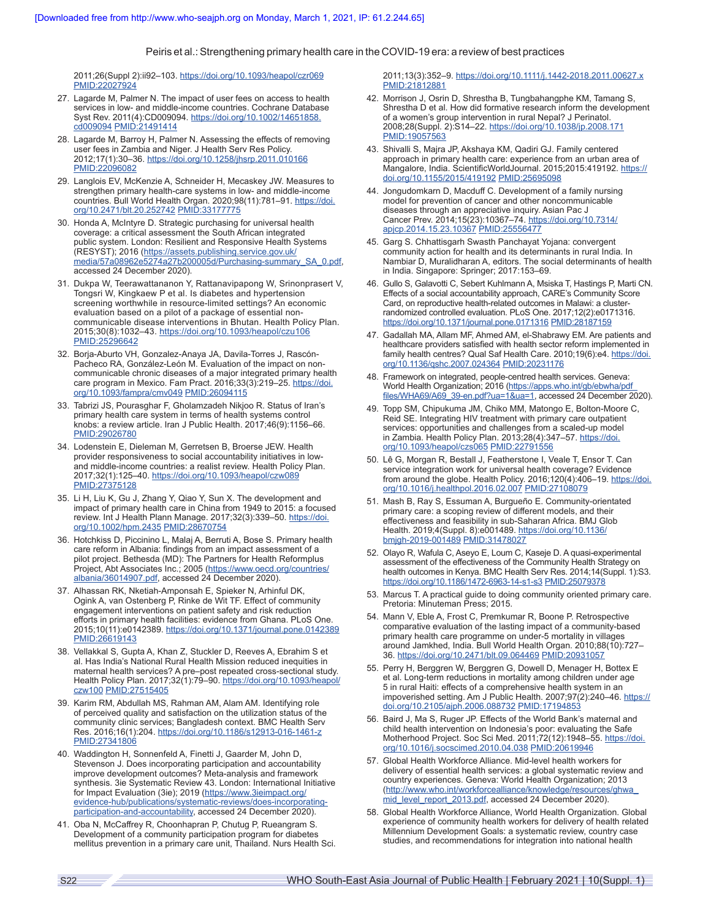2011;26(Suppl 2):ii92–103.<https://doi.org/10.1093/heapol/czr069> [PMID:22027924](https://pubmed.ncbi.nlm.nih.gov/22027924/)

- 27. Lagarde M, Palmer N. The impact of user fees on access to health services in low- and middle-income countries. Cochrane Database Syst Rev. 2011(4):CD009094. [https://doi.org/10.1002/14651858.](https://doi.org/10.1002/14651858.cd009094) [cd009094](https://doi.org/10.1002/14651858.cd009094) [PMID:21491414](https://pubmed.ncbi.nlm.nih.gov/21491414/)
- 28. Lagarde M, Barroy H, Palmer N. Assessing the effects of removing user fees in Zambia and Niger. J Health Serv Res Policy. 2012;17(1):30–36. <https://doi.org/10.1258/jhsrp.2011.010166> [PMID:22096082](https://pubmed.ncbi.nlm.nih.gov/22096082/)
- 29. Langlois EV, McKenzie A, Schneider H, Mecaskey JW. Measures to strengthen primary health-care systems in low- and middle-income countries. Bull World Health Organ. 2020;98(11):781–91. [https://doi.](https://doi.org/10.2471/blt.20.252742) [org/10.2471/blt.20.252742](https://doi.org/10.2471/blt.20.252742) [PMID:33177775](https://pubmed.ncbi.nlm.nih.gov/33177775/)
- 30. Honda A, McIntyre D. Strategic purchasing for universal health coverage: a critical assessment the South African integrated public system. London: Resilient and Responsive Health Systems (RESYST); 2016 ([https://assets.publishing.service.gov.uk/](https://assets.publishing.service.gov.uk/media/57a08962e5274a27b200005d/Purchasing-summary_SA_0.pdf) [media/57a08962e5274a27b200005d/Purchasing-summary\\_SA\\_0.pdf](https://assets.publishing.service.gov.uk/media/57a08962e5274a27b200005d/Purchasing-summary_SA_0.pdf), accessed 24 December 2020).
- 31. Dukpa W, Teerawattananon Y, Rattanavipapong W, Srinonprasert V, Tongsri W, Kingkaew P et al. Is diabetes and hypertension screening worthwhile in resource-limited settings? An economic evaluation based on a pilot of a package of essential noncommunicable disease interventions in Bhutan. Health Policy Plan. 2015;30(8):1032–43.<https://doi.org/10.1093/heapol/czu106> [PMID:25296642](https://pubmed.ncbi.nlm.nih.gov/25296642/)
- 32. Borja-Aburto VH, Gonzalez-Anaya JA, Davila-Torres J, Rascón-Pacheco RA, González-León M. Evaluation of the impact on noncommunicable chronic diseases of a major integrated primary health care program in Mexico. Fam Pract. 2016;33(3):219-25. [https://doi.](https://doi.org/10.1093/fampra/cmv049) [org/10.1093/fampra/cmv049](https://doi.org/10.1093/fampra/cmv049) [PMID:26094115](https://pubmed.ncbi.nlm.nih.gov/26094115/)
- 33. Tabrizi JS, Pourasghar F, Gholamzadeh Nikjoo R. Status of Iran's primary health care system in terms of health systems control knobs: a review article. Iran J Public Health. 2017;46(9):1156–66. [PMID:29026780](https://pubmed.ncbi.nlm.nih.gov/29026780/)
- 34. Lodenstein E, Dieleman M, Gerretsen B, Broerse JEW. Health provider responsiveness to social accountability initiatives in lowand middle-income countries: a realist review. Health Policy Plan. 2017;32(1):125–40.<https://doi.org/10.1093/heapol/czw089> [PMID:27375128](https://pubmed.ncbi.nlm.nih.gov/27375128/)
- 35. Li H, Liu K, Gu J, Zhang Y, Qiao Y, Sun X. The development and impact of primary health care in China from 1949 to 2015: a focused review. Int J Health Plann Manage. 2017;32(3):339–50. [https://doi.](https://doi.org/10.1002/hpm.2435) [org/10.1002/hpm.2435](https://doi.org/10.1002/hpm.2435) [PMID:28670754](https://pubmed.ncbi.nlm.nih.gov/28670754/)
- 36. Hotchkiss D, Piccinino L, Malaj A, Berruti A, Bose S. Primary health care reform in Albania: findings from an impact assessment of a pilot project. Bethesda (MD): The Partners for Health Reformplus Project, Abt Associates Inc.; 2005 (<u>https://www.oecd.org/countries/</u> [albania/36014907.pdf,](https://www.oecd.org/countries/albania/36014907.pdf) accessed 24 December 2020).
- 37. Alhassan RK, Nketiah-Amponsah E, Spieker N, Arhinful DK, Ogink A, van Ostenberg P, Rinke de Wit TF. Effect of community engagement interventions on patient safety and risk reduction efforts in primary health facilities: evidence from Ghana. PLoS One. 2015;10(11):e0142389. <https://doi.org/10.1371/journal.pone.0142389> [PMID:26619143](https://pubmed.ncbi.nlm.nih.gov/26619143/)
- 38. Vellakkal S, Gupta A, Khan Z, Stuckler D, Reeves A, Ebrahim S et al. Has India's National Rural Health Mission reduced inequities in maternal health services? A pre–post repeated cross-sectional study. Health Policy Plan. 2017;32(1):79–90. [https://doi.org/10.1093/heapol/](https://doi.org/10.1093/heapol/czw100) [czw100](https://doi.org/10.1093/heapol/czw100) [PMID:27515405](https://pubmed.ncbi.nlm.nih.gov/27515405/)
- 39. Karim RM, Abdullah MS, Rahman AM, Alam AM. Identifying role of perceived quality and satisfaction on the utilization status of the community clinic services; Bangladesh context. BMC Health Serv Res. 2016;16(1):204.<https://doi.org/10.1186/s12913-016-1461-z> [PMID:27341806](https://pubmed.ncbi.nlm.nih.gov/27341806/)
- 40. Waddington H, Sonnenfeld A, Finetti J, Gaarder M, John D, Stevenson J. Does incorporating participation and accountability improve development outcomes? Meta-analysis and framework synthesis. 3ie Systematic Review 43. London: International Initiative for Impact Evaluation (3ie); 2019 [\(https://www.3ieimpact.org/](https://www.3ieimpact.org/evidence-hub/publications/systematic-reviews/does-incorporating-participation-and-accountability) [evidence-hub/publications/systematic-reviews/does-incorporating](https://www.3ieimpact.org/evidence-hub/publications/systematic-reviews/does-incorporating-participation-and-accountability)[participation-and-accountability](https://www.3ieimpact.org/evidence-hub/publications/systematic-reviews/does-incorporating-participation-and-accountability), accessed 24 December 2020).
- 41. Oba N, McCaffrey R, Choonhapran P, Chutug P, Rueangram S. Development of a community participation program for diabetes mellitus prevention in a primary care unit, Thailand. Nurs Health Sci.

2011;13(3):352–9. <https://doi.org/10.1111/j.1442-2018.2011.00627.x> [PMID:21812881](https://pubmed.ncbi.nlm.nih.gov/21812881/)

- 42. Morrison J, Osrin D, Shrestha B, Tungbahangphe KM, Tamang S, Shrestha D et al. How did formative research inform the development of a women's group intervention in rural Nepal? J Perinatol. 2008;28(Suppl. 2):S14–22. <https://doi.org/10.1038/jp.2008.171> [PMID:19057563](https://pubmed.ncbi.nlm.nih.gov/19057563/)
- 43. Shivalli S, Majra JP, Akshaya KM, Qadiri GJ. Family centered approach in primary health care: experience from an urban area of Mangalore, India. ScientificWorldJournal. 2015;2015:419192. [https://](https://doi.org/10.1155/2015/419192) [doi.org/10.1155/2015/419192](https://doi.org/10.1155/2015/419192) [PMID:25695098](https://pubmed.ncbi.nlm.nih.gov/25695098/)
- 44. Jongudomkarn D, Macduff C. Development of a family nursing model for prevention of cancer and other noncommunicable diseases through an appreciative inquiry. Asian Pac J Cancer Prev. 2014;15(23):10367-74. [https://doi.org/10.7314/](https://doi.org/10.7314/apjcp.2014.15.23.10367) [apjcp.2014.15.23.10367](https://doi.org/10.7314/apjcp.2014.15.23.10367) [PMID:25556477](https://pubmed.ncbi.nlm.nih.gov/25556477/)
- 45. Garg S. Chhattisgarh Swasth Panchayat Yojana: convergent community action for health and its determinants in rural India. In Nambiar D, Muralidharan A, editors. The social determinants of health in India. Singapore: Springer; 2017:153–69.
- 46. Gullo S, Galavotti C, Sebert Kuhlmann A, Msiska T, Hastings P, Marti CN. Effects of a social accountability approach, CARE's Community Score Card, on reproductive health-related outcomes in Malawi: a clusterrandomized controlled evaluation. PLoS One. 2017;12(2):e0171316. <https://doi.org/10.1371/journal.pone.0171316> [PMID:28187159](https://pubmed.ncbi.nlm.nih.gov/28187159/)
- 47. Gadallah MA, Allam MF, Ahmed AM, el-Shabrawy EM. Are patients and healthcare providers satisfied with health sector reform implemented in family health centres? Qual Saf Health Care. 2010;19(6):e4. [https://doi.](https://doi.org/10.1136/qshc.2007.024364) [org/10.1136/qshc.2007.024364](https://doi.org/10.1136/qshc.2007.024364) [PMID:20231176](https://pubmed.ncbi.nlm.nih.gov/20231176/)
- 48. Framework on integrated, people-centred health services. Geneva: World Health Organization; 2016 [\(https://apps.who.int/gb/ebwha/pdf\\_](https://apps.who.int/gb/ebwha/pdf_files/WHA69/A69_39-en.pdf?ua=1&ua=1) [files/WHA69/A69\\_39-en.pdf?ua=1&ua=1](https://apps.who.int/gb/ebwha/pdf_files/WHA69/A69_39-en.pdf?ua=1&ua=1), accessed 24 December 2020).
- 49. Topp SM, Chipukuma JM, Chiko MM, Matongo E, Bolton-Moore C, Reid SE. Integrating HIV treatment with primary care outpatient services: opportunities and challenges from a scaled-up model in Zambia. Health Policy Plan. 2013;28(4):347-57. [https://doi.](https://doi.org/10.1093/heapol/czs065) [org/10.1093/heapol/czs065](https://doi.org/10.1093/heapol/czs065) [PMID:22791556](https://pubmed.ncbi.nlm.nih.gov/22791556/)
- 50. Lê G, Morgan R, Bestall J, Featherstone I, Veale T, Ensor T. Can service integration work for universal health coverage? Evidence from around the globe. Health Policy. 2016;120(4):406-19. [https://doi.](https://doi.org/10.1016/j.healthpol.2016.02.007) [org/10.1016/j.healthpol.2016.02.007](https://doi.org/10.1016/j.healthpol.2016.02.007) [PMID:27108079](https://pubmed.ncbi.nlm.nih.gov/27108079/)
- 51. Mash B, Ray S, Essuman A, Burgueño E. Community-orientated primary care: a scoping review of different models, and their effectiveness and feasibility in sub-Saharan Africa. BMJ Glob Health. 2019;4(Suppl. 8):e001489. [https://doi.org/10.1136/](https://doi.org/10.1136/bmjgh-2019-001489) [bmjgh-2019-001489](https://doi.org/10.1136/bmjgh-2019-001489) [PMID:31478027](https://pubmed.ncbi.nlm.nih.gov/31478027/)
- 52. Olayo R, Wafula C, Aseyo E, Loum C, Kaseje D. A quasi-experimental assessment of the effectiveness of the Community Health Strategy on health outcomes in Kenya. BMC Health Serv Res. 2014;14(Suppl. 1):S3. <https://doi.org/10.1186/1472-6963-14-s1-s3> [PMID:25079378](https://pubmed.ncbi.nlm.nih.gov/25079378/)
- 53. Marcus T. A practical guide to doing community oriented primary care. Pretoria: Minuteman Press; 2015.
- 54. Mann V, Eble A, Frost C, Premkumar R, Boone P. Retrospective comparative evaluation of the lasting impact of a community-based primary health care programme on under-5 mortality in villages around Jamkhed, India. Bull World Health Organ. 2010;88(10):727– 36.<https://doi.org/10.2471/blt.09.064469> [PMID:20931057](https://pubmed.ncbi.nlm.nih.gov/20931057/)
- 55. Perry H, Berggren W, Berggren G, Dowell D, Menager H, Bottex E et al. Long-term reductions in mortality among children under age 5 in rural Haiti: effects of a comprehensive health system in an impoverished setting. Am J Public Health. 2007;97(2):240-46. [https://](https://doi.org/10.2105/ajph.2006.088732) [doi.org/10.2105/ajph.2006.088732](https://doi.org/10.2105/ajph.2006.088732) [PMID:17194853](https://pubmed.ncbi.nlm.nih.gov/17194853/)
- 56. Baird J, Ma S, Ruger JP. Effects of the World Bank's maternal and child health intervention on Indonesia's poor: evaluating the Safe Motherhood Project. Soc Sci Med. 2011;72(12):1948-55. [https://doi.](https://doi.org/10.1016/j.socscimed.2010.04.038) [org/10.1016/j.socscimed.2010.04.038](https://doi.org/10.1016/j.socscimed.2010.04.038) [PMID:20619946](https://pubmed.ncbi.nlm.nih.gov/20619946/)
- 57. Global Health Workforce Alliance. Mid-level health workers for delivery of essential health services: a global systematic review and country experiences. Geneva: World Health Organization; 2013 ([http://www.who.int/workforcealliance/knowledge/resources/ghwa\\_](http://www.who.int/workforcealliance/knowledge/resources/ghwa_mid_level_report_2013.pdf) [mid\\_level\\_report\\_2013.pdf,](http://www.who.int/workforcealliance/knowledge/resources/ghwa_mid_level_report_2013.pdf) accessed 24 December 2020).
- 58. Global Health Workforce Alliance, World Health Organization. Global experience of community health workers for delivery of health related Millennium Development Goals: a systematic review, country case studies, and recommendations for integration into national health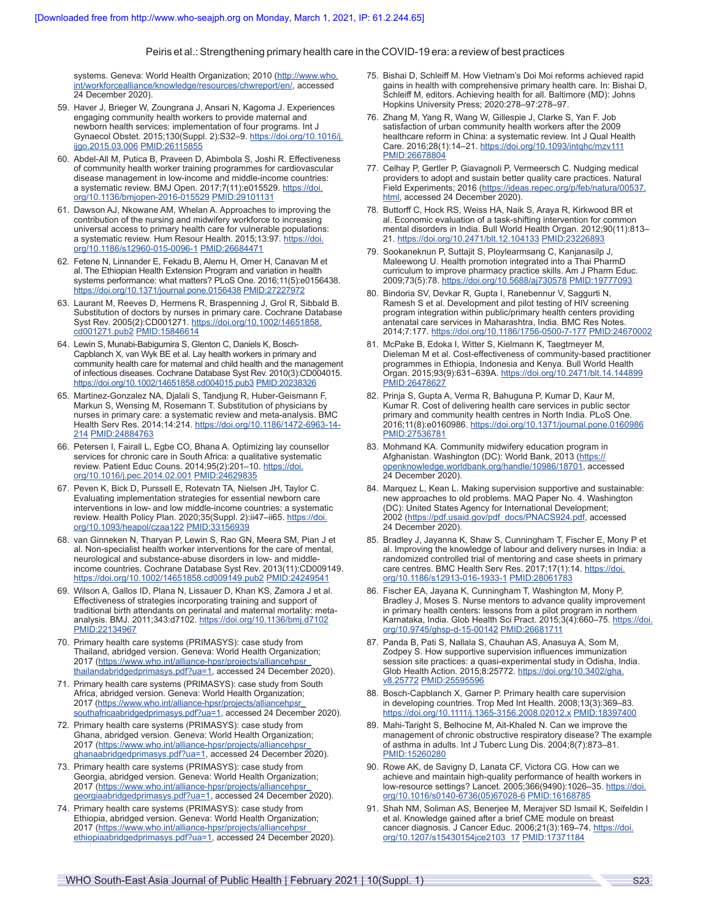systems. Geneva: World Health Organization; 2010 ([http://www.who.](http://www.who.int/workforcealliance/knowledge/resources/chwreport/en/) [int/workforcealliance/knowledge/resources/chwreport/en/,](http://www.who.int/workforcealliance/knowledge/resources/chwreport/en/) accessed 24 December 2020).

- 59. Haver J, Brieger W, Zoungrana J, Ansari N, Kagoma J. Experiences engaging community health workers to provide maternal and newborn health services: implementation of four programs. Int J Gynaecol Obstet. 2015;130(Suppl. 2):S32–9. [https://doi.org/10.1016/j.](https://doi.org/10.1016/j.ijgo.2015.03.006) [ijgo.2015.03.006](https://doi.org/10.1016/j.ijgo.2015.03.006) [PMID:26115855](https://pubmed.ncbi.nlm.nih.gov/26115855/)
- 60. Abdel-All M, Putica B, Praveen D, Abimbola S, Joshi R. Effectiveness of community health worker training programmes for cardiovascular disease management in low-income and middle-income countries: a systematic review. BMJ Open. 2017;7(11):e015529. [https://doi.](https://doi.org/10.1136/bmjopen-2016-015529) [org/10.1136/bmjopen-2016-015529](https://doi.org/10.1136/bmjopen-2016-015529) [PMID:29101131](https://pubmed.ncbi.nlm.nih.gov/29101131/)
- 61. Dawson AJ, Nkowane AM, Whelan A. Approaches to improving the contribution of the nursing and midwifery workforce to increasing universal access to primary health care for vulnerable populations: a systematic review. Hum Resour Health. 2015;13:97. [https://doi.](https://doi.org/10.1186/s12960-015-0096-1) [org/10.1186/s12960-015-0096-1](https://doi.org/10.1186/s12960-015-0096-1) [PMID:26684471](https://pubmed.ncbi.nlm.nih.gov/26684471/)
- 62. Fetene N, Linnander E, Fekadu B, Alemu H, Omer H, Canavan M et al. The Ethiopian Health Extension Program and variation in health systems performance: what matters? PLoS One. 2016;11(5):e0156438. <https://doi.org/10.1371/journal.pone.0156438> [PMID:27227972](https://pubmed.ncbi.nlm.nih.gov/27227972/)
- 63. Laurant M, Reeves D, Hermens R, Braspenning J, Grol R, Sibbald B. Substitution of doctors by nurses in primary care. Cochrane Database Syst Rev. 2005(2):CD001271. [https://doi.org/10.1002/14651858.](https://doi.org/10.1002/14651858.cd001271.pub2) [cd001271.pub2](https://doi.org/10.1002/14651858.cd001271.pub2) [PMID:15846614](https://pubmed.ncbi.nlm.nih.gov/15846614/)
- 64. Lewin S, Munabi-Babigumira S, Glenton C, Daniels K, Bosch-Capblanch X, van Wyk BE et al. Lay health workers in primary and community health care for maternal and child health and the management of infectious diseases. Cochrane Database Syst Rev. 2010(3):CD004015. <https://doi.org/10.1002/14651858.cd004015.pub3> [PMID:20238326](https://pubmed.ncbi.nlm.nih.gov/20238326/)
- 65. Martinez-Gonzalez NA, Djalali S, Tandjung R, Huber-Geismann F, Markun S, Wensing M, Rosemann T. Substitution of physicians by nurses in primary care: a systematic review and meta-analysis. BMC Health Serv Res. 2014;14:214. [https://doi.org/10.1186/1472-6963-14-](https://doi.org/10.1186/1472-6963-14-214) [214](https://doi.org/10.1186/1472-6963-14-214) [PMID:24884763](https://pubmed.ncbi.nlm.nih.gov/24884763/)
- 66. Petersen I, Fairall L, Egbe CO, Bhana A. Optimizing lay counsellor services for chronic care in South Africa: a qualitative systematic review. Patient Educ Couns. 2014;95(2):201–10. [https://doi.](https://doi.org/10.1016/j.pec.2014.02.001) [org/10.1016/j.pec.2014.02.001](https://doi.org/10.1016/j.pec.2014.02.001) [PMID:24629835](https://pubmed.ncbi.nlm.nih.gov/24629835/)
- 67. Peven K, Bick D, Purssell E, Rotevatn TA, Nielsen JH, Taylor C. Evaluating implementation strategies for essential newborn care interventions in low- and low middle-income countries: a systematic review. Health Policy Plan. 2020;35(Suppl. 2):ii47-ii65. [https://doi.](https://doi.org/10.1093/heapol/czaa122) [org/10.1093/heapol/czaa122](https://doi.org/10.1093/heapol/czaa122) [PMID:33156939](https://pubmed.ncbi.nlm.nih.gov/33156939/)
- 68. van Ginneken N, Tharyan P, Lewin S, Rao GN, Meera SM, Pian J et al. Non-specialist health worker interventions for the care of mental, neurological and substance-abuse disorders in low- and middleincome countries. Cochrane Database Syst Rev. 2013(11):CD009149. <https://doi.org/10.1002/14651858.cd009149.pub2> [PMID:24249541](https://pubmed.ncbi.nlm.nih.gov/24249541/)
- 69. Wilson A, Gallos ID, Plana N, Lissauer D, Khan KS, Zamora J et al. Effectiveness of strategies incorporating training and support of traditional birth attendants on perinatal and maternal mortality: metaanalysis. BMJ. 2011;343:d7102. <https://doi.org/10.1136/bmj.d7102> [PMID:22134967](https://pubmed.ncbi.nlm.nih.gov/22134967/)
- 70. Primary health care systems (PRIMASYS): case study from Thailand, abridged version. Geneva: World Health Organization; 2017 (https://www.who.int/alliance-hpsr/projects/alliancehpsr [thailandabridgedprimasys.pdf?ua=1,](https://www.who.int/alliance-hpsr/projects/alliancehpsr_thailandabridgedprimasys.pdf?ua=1) accessed 24 December 2020).
- 71. Primary health care systems (PRIMASYS): case study from South Africa, abridged version. Geneva: World Health Organization; 2017 ([https://www.who.int/alliance-hpsr/projects/alliancehpsr\\_](https://www.who.int/alliance-hpsr/projects/alliancehpsr_southafricaabridgedprimasys.pdf?ua=1) [southafricaabridgedprimasys.pdf?ua=1](https://www.who.int/alliance-hpsr/projects/alliancehpsr_southafricaabridgedprimasys.pdf?ua=1), accessed 24 December 2020).
- 72. Primary health care systems (PRIMASYS): case study from Ghana, abridged version. Geneva: World Health Organization; 2017 (https://www.who.int/alliance-hpsr/projects/alliancehpsi [ghanaabridgedprimasys.pdf?ua=1](https://www.who.int/alliance-hpsr/projects/alliancehpsr_ghanaabridgedprimasys.pdf?ua=1), accessed 24 December 2020).
- 73. Primary health care systems (PRIMASYS): case study from Georgia, abridged version. Geneva: World Health Organization; 2017 ([https://www.who.int/alliance-hpsr/projects/alliancehpsr\\_](https://www.who.int/alliance-hpsr/projects/alliancehpsr_georgiaabridgedprimasys.pdf?ua=1) [georgiaabridgedprimasys.pdf?ua=1](https://www.who.int/alliance-hpsr/projects/alliancehpsr_georgiaabridgedprimasys.pdf?ua=1), accessed 24 December 2020).
- 74. Primary health care systems (PRIMASYS): case study from Ethiopia, abridged version. Geneva: World Health Organization; 2017 ([https://www.who.int/alliance-hpsr/projects/alliancehpsr\\_](https://www.who.int/alliance-hpsr/projects/alliancehpsr_ethiopiaabridgedprimasys.pdf?ua=1) [ethiopiaabridgedprimasys.pdf?ua=1,](https://www.who.int/alliance-hpsr/projects/alliancehpsr_ethiopiaabridgedprimasys.pdf?ua=1) accessed 24 December 2020).
- 75. Bishai D, Schleiff M. How Vietnam's Doi Moi reforms achieved rapid gains in health with comprehensive primary health care. In: Bishai D, Schleiff M, editors. Achieving health for all. Baltimore (MD): Johns Hopkins University Press; 2020:278–97:278–97.
- 76. Zhang M, Yang R, Wang W, Gillespie J, Clarke S, Yan F. Job satisfaction of urban community health workers after the 2009 healthcare reform in China: a systematic review. Int J Qual Health Care. 2016;28(1):14–21. <https://doi.org/10.1093/intqhc/mzv111> [PMID:26678804](https://pubmed.ncbi.nlm.nih.gov/26678804/)
- 77. Celhay P, Gertler P, Giavagnoli P, Vermeersch C. Nudging medical providers to adopt and sustain better quality care practices. Natural Field Experiments; 2016 [\(https://ideas.repec.org/p/feb/natura/00537.](https://ideas.repec.org/p/feb/natura/00537.html) [html](https://ideas.repec.org/p/feb/natura/00537.html), accessed 24 December 2020).
- 78. Buttorff C, Hock RS, Weiss HA, Naik S, Araya R, Kirkwood BR et al. Economic evaluation of a task-shifting intervention for common mental disorders in India. Bull World Health Organ. 2012;90(11):813– 21.<https://doi.org/10.2471/blt.12.104133> [PMID:23226893](https://pubmed.ncbi.nlm.nih.gov/23226893/)
- 79. Sookaneknun P, Suttajit S, Ploylearmsang C, Kanjanasilp J, Maleewong U. Health promotion integrated into a Thai PharmD curriculum to improve pharmacy practice skills. Am J Pharm Educ. 2009;73(5):78. <https://doi.org/10.5688/aj730578> [PMID:19777093](https://pubmed.ncbi.nlm.nih.gov/19777093/)
- 80. Bindoria SV, Devkar R, Gupta I, Ranebennur V, Saggurti N, Ramesh S et al. Development and pilot testing of HIV screening program integration within public/primary health centers providing antenatal care services in Maharashtra, India. BMC Res Notes. 2014;7:177. <https://doi.org/10.1186/1756-0500-7-177> [PMID:24670002](https://pubmed.ncbi.nlm.nih.gov/24670002/)
- 81. McPake B, Edoka I, Witter S, Kielmann K, Taegtmeyer M, Dieleman M et al. Cost-effectiveness of community-based practitioner programmes in Ethiopia, Indonesia and Kenya. Bull World Health Organ. 2015;93(9):631–639A. <https://doi.org/10.2471/blt.14.144899> [PMID:26478627](https://pubmed.ncbi.nlm.nih.gov/26478627/)
- 82. Prinja S, Gupta A, Verma R, Bahuguna P, Kumar D, Kaur M, Kumar R. Cost of delivering health care services in public sector primary and community health centres in North India. PLoS One. 2016;11(8):e0160986.<https://doi.org/10.1371/journal.pone.0160986> [PMID:27536781](https://pubmed.ncbi.nlm.nih.gov/27536781/)
- 83. Mohmand KA. Community midwifery education program in Afghanistan. Washington (DC): World Bank, 2013 [\(https://](https://openknowledge.worldbank.org/handle/10986/18701) [openknowledge.worldbank.org/handle/10986/18701](https://openknowledge.worldbank.org/handle/10986/18701), accessed 24 December 2020).
- 84. Marquez L, Kean L. Making supervision supportive and sustainable: new approaches to old problems. MAQ Paper No. 4. Washington (DC): United States Agency for International Development; 2002 ([https://pdf.usaid.gov/pdf\\_docs/PNACS924.pdf,](https://pdf.usaid.gov/pdf_docs/PNACS924.pdf) accessed 24 December 2020).
- 85. Bradley J, Jayanna K, Shaw S, Cunningham T, Fischer E, Mony P et al. Improving the knowledge of labour and delivery nurses in India: a randomized controlled trial of mentoring and case sheets in primary care centres. BMC Health Serv Res. 2017;17(1):14. [https://doi.](https://doi.org/10.1186/s12913-016-1933-1) [org/10.1186/s12913-016-1933-1](https://doi.org/10.1186/s12913-016-1933-1) [PMID:28061783](https://pubmed.ncbi.nlm.nih.gov/28061783/)
- 86. Fischer EA, Jayana K, Cunningham T, Washington M, Mony P, Bradley J, Moses S. Nurse mentors to advance quality improvement in primary health centers: lessons from a pilot program in northern Karnataka, India. Glob Health Sci Pract. 2015;3(4):660-75. [https://doi.](https://doi.org/10.9745/ghsp-d-15-00142) [org/10.9745/ghsp-d-15-00142](https://doi.org/10.9745/ghsp-d-15-00142) [PMID:26681711](https://pubmed.ncbi.nlm.nih.gov/26681711/)
- 87. Panda B, Pati S, Nallala S, Chauhan AS, Anasuya A, Som M, Zodpey S. How supportive supervision influences immunization session site practices: a quasi-experimental study in Odisha, India. Glob Health Action. 2015;8:25772. [https://doi.org/10.3402/gha.](https://doi.org/10.3402/gha.v8.25772) [v8.25772](https://doi.org/10.3402/gha.v8.25772) [PMID:25595596](https://pubmed.ncbi.nlm.nih.gov/25595596/)
- 88. Bosch-Capblanch X, Garner P. Primary health care supervision in developing countries. Trop Med Int Health. 2008;13(3):369–83. <https://doi.org/10.1111/j.1365-3156.2008.02012.x> [PMID:18397400](https://pubmed.ncbi.nlm.nih.gov/18397400/)
- 89. Mahi-Taright S, Belhocine M, Ait-Khaled N. Can we improve the management of chronic obstructive respiratory disease? The example of asthma in adults. Int J Tuberc Lung Dis. 2004;8(7):873–81. [PMID:15260280](https://pubmed.ncbi.nlm.nih.gov/15260280/)
- 90. Rowe AK, de Savigny D, Lanata CF, Victora CG. How can we achieve and maintain high-quality performance of health workers in low-resource settings? Lancet. 2005;366(9490):1026–35. [https://doi.](https://doi.org/10.1016/s0140-6736(05)67028-6) [org/10.1016/s0140-6736\(05\)67028-6](https://doi.org/10.1016/s0140-6736(05)67028-6) [PMID:16168785](https://pubmed.ncbi.nlm.nih.gov/16168785/)
- 91. Shah NM, Soliman AS, Benerjee M, Merajver SD Ismail K, Seifeldin I et al. Knowledge gained after a brief CME module on breast cancer diagnosis. J Cancer Educ. 2006;21(3):169-74. [https://doi.](https://doi.org/10.1207/s15430154jce2103_17) [org/10.1207/s15430154jce2103\\_17](https://doi.org/10.1207/s15430154jce2103_17) [PMID:17371184](https://pubmed.ncbi.nlm.nih.gov/17371184/)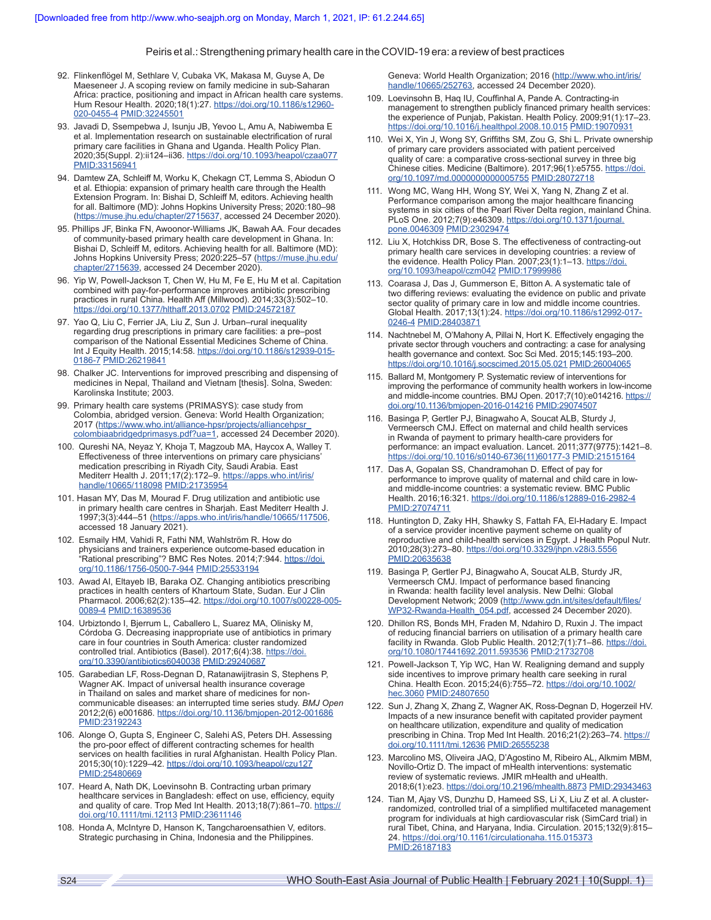- 92. Flinkenflögel M, Sethlare V, Cubaka VK, Makasa M, Guyse A, De Maeseneer J. A scoping review on family medicine in sub-Saharan Africa: practice, positioning and impact in African health care systems. Hum Resour Health. 2020;18(1):27. [https://doi.org/10.1186/s12960-](https://doi.org/10.1186/s12960-020-0455-4) [020-0455-4](https://doi.org/10.1186/s12960-020-0455-4) [PMID:32245501](https://pubmed.ncbi.nlm.nih.gov/32245501/)
- 93. Javadi D, Ssempebwa J, Isunju JB, Yevoo L, Amu A, Nabiwemba E et al. Implementation research on sustainable electrification of rural primary care facilities in Ghana and Uganda. Health Policy Plan. 2020;35(Suppl. 2):ii124–ii36.<https://doi.org/10.1093/heapol/czaa077> [PMID:33156941](https://pubmed.ncbi.nlm.nih.gov/33156941/)
- 94. Damtew ZA, Schleiff M, Worku K, Chekagn CT, Lemma S, Abiodun O et al. Ethiopia: expansion of primary health care through the Health Extension Program. In: Bishai D, Schleiff M, editors. Achieving health for all. Baltimore (MD): Johns Hopkins University Press; 2020:180–98 (<https://muse.jhu.edu/chapter/2715637>, accessed 24 December 2020).
- 95. Phillips JF, Binka FN, Awoonor-Williams JK, Bawah AA. Four decades of community-based primary health care development in Ghana. In: Bishai D, Schleiff M, editors. Achieving health for all. Baltimore (MD): Johns Hopkins University Press; 2020:225–57 [\(https://muse.jhu.edu/](https://muse.jhu.edu/chapter/2715639) [chapter/2715639,](https://muse.jhu.edu/chapter/2715639) accessed 24 December 2020).
- 96. Yip W, Powell-Jackson T, Chen W, Hu M, Fe E, Hu M et al. Capitation combined with pay-for-performance improves antibiotic prescribing practices in rural China. Health Aff (Millwood). 2014;33(3):502–10. <https://doi.org/10.1377/hlthaff.2013.0702> [PMID:24572187](https://pubmed.ncbi.nlm.nih.gov/24572187/)
- 97. Yao Q, Liu C, Ferrier JA, Liu Z, Sun J. Urban–rural inequality regarding drug prescriptions in primary care facilities: a pre–post comparison of the National Essential Medicines Scheme of China. Int J Equity Health. 2015;14:58. [https://doi.org/10.1186/s12939-015-](https://doi.org/10.1186/s12939-015-0186-7) [0186-7](https://doi.org/10.1186/s12939-015-0186-7) [PMID:26219841](https://pubmed.ncbi.nlm.nih.gov/26219841/)
- 98. Chalker JC. Interventions for improved prescribing and dispensing of medicines in Nepal, Thailand and Vietnam [thesis]. Solna, Sweden: Karolinska Institute; 2003.
- 99. Primary health care systems (PRIMASYS): case study from Colombia, abridged version. Geneva: World Health Organization; 2017 ([https://www.who.int/alliance-hpsr/projects/alliancehpsr\\_](https://www.who.int/alliance-hpsr/projects/alliancehpsr_colombiaabridgedprimasys.pdf?ua=1) [colombiaabridgedprimasys.pdf?ua=1](https://www.who.int/alliance-hpsr/projects/alliancehpsr_colombiaabridgedprimasys.pdf?ua=1), accessed 24 December 2020).
- 100. Qureshi NA, Neyaz Y, Khoja T, Magzoub MA, Haycox A, Walley T. Effectiveness of three interventions on primary care physicians' medication prescribing in Riyadh City, Saudi Arabia. East Mediterr Health J. 2011;17(2):172-9. [https://apps.who.int/iris/](https://apps.who.int/iris/handle/10665/118098) [handle/10665/118098](https://apps.who.int/iris/handle/10665/118098) [PMID:21735954](https://pubmed.ncbi.nlm.nih.gov/21735954/)
- 101. Hasan MY, Das M, Mourad F. Drug utilization and antibiotic use in primary health care centres in Sharjah. East Mediterr Health J. 1997;3(3):444–51 (<https://apps.who.int/iris/handle/10665/117506>, accessed 18 January 2021).
- 102. Esmaily HM, Vahidi R, Fathi NM, Wahlström R. How do physicians and trainers experience outcome-based education in "Rational prescribing"? BMC Res Notes. 2014;7:944. [https://doi.](https://doi.org/10.1186/1756-0500-7-944) [org/10.1186/1756-0500-7-944](https://doi.org/10.1186/1756-0500-7-944) [PMID:25533194](https://pubmed.ncbi.nlm.nih.gov/25533194/)
- 103. Awad AI, Eltayeb IB, Baraka OZ. Changing antibiotics prescribing practices in health centers of Khartoum State, Sudan. Eur J Clin Pharmacol. 2006;62(2):135–42. [https://doi.org/10.1007/s00228-005-](https://doi.org/10.1007/s00228-005-0089-4) [0089-4](https://doi.org/10.1007/s00228-005-0089-4) [PMID:16389536](https://pubmed.ncbi.nlm.nih.gov/16389536/)
- 104. Urbiztondo I, Bjerrum L, Caballero L, Suarez MA, Olinisky M, Córdoba G. Decreasing inappropriate use of antibiotics in primary care in four countries in South America: cluster randomized controlled trial. Antibiotics (Basel). 2017;6(4):38. [https://doi.](https://doi.org/10.3390/antibiotics6040038) [org/10.3390/antibiotics6040038](https://doi.org/10.3390/antibiotics6040038) [PMID:29240687](https://pubmed.ncbi.nlm.nih.gov/29240687/)
- 105. Garabedian LF, Ross-Degnan D, Ratanawijitrasin S, Stephens P, Wagner AK. Impact of universal health insurance coverage in Thailand on sales and market share of medicines for noncommunicable diseases: an interrupted time series study. *BMJ Open* 2012;2(6) e001686.<https://doi.org/10.1136/bmjopen-2012-001686> [PMID:23192243](https://pubmed.ncbi.nlm.nih.gov/23192243/)
- 106. Alonge O, Gupta S, Engineer C, Salehi AS, Peters DH. Assessing the pro-poor effect of different contracting schemes for health services on health facilities in rural Afghanistan. Health Policy Plan. 2015;30(10):1229–42. <https://doi.org/10.1093/heapol/czu127> [PMID:25480669](https://pubmed.ncbi.nlm.nih.gov/25480669/)
- 107. Heard A, Nath DK, Loevinsohn B. Contracting urban primary healthcare services in Bangladesh: effect on use, efficiency, equity and quality of care. Trop Med Int Health. 2013;18(7):861-70. [https://](https://doi.org/10.1111/tmi.12113) [doi.org/10.1111/tmi.12113](https://doi.org/10.1111/tmi.12113) [PMID:23611146](https://pubmed.ncbi.nlm.nih.gov/23611146/)
- 108. Honda A, McIntyre D, Hanson K, Tangcharoensathien V, editors. Strategic purchasing in China, Indonesia and the Philippines.

Geneva: World Health Organization; 2016 [\(http://www.who.int/iris/](http://www.who.int/iris/handle/10665/252763) [handle/10665/252763,](http://www.who.int/iris/handle/10665/252763) accessed 24 December 2020).

- 109. Loevinsohn B, Haq IU, Couffinhal A, Pande A. Contracting-in management to strengthen publicly financed primary health services: the experience of Punjab, Pakistan. Health Policy. 2009;91(1):17–23. <https://doi.org/10.1016/j.healthpol.2008.10.015> [PMID:19070931](https://pubmed.ncbi.nlm.nih.gov/19070931/)
- 110. Wei X, Yin J, Wong SY, Griffiths SM, Zou G, Shi L. Private ownership of primary care providers associated with patient perceived quality of care: a comparative cross-sectional survey in three big Chinese cities. Medicine (Baltimore). 2017;96(1):e5755. [https://doi.](https://doi.org/10.1097/md.0000000000005755) [org/10.1097/md.0000000000005755](https://doi.org/10.1097/md.0000000000005755) [PMID:28072718](https://pubmed.ncbi.nlm.nih.gov/28072718/)
- 111. Wong MC, Wang HH, Wong SY, Wei X, Yang N, Zhang Z et al. Performance comparison among the major healthcare financing systems in six cities of the Pearl River Delta region, mainland China. PLoS One. 2012;7(9):e46309. [https://doi.org/10.1371/journal.](https://doi.org/10.1371/journal.pone.0046309) [pone.0046309](https://doi.org/10.1371/journal.pone.0046309) [PMID:23029474](https://pubmed.ncbi.nlm.nih.gov/23029474/)
- 112. Liu X, Hotchkiss DR, Bose S. The effectiveness of contracting-out primary health care services in developing countries: a review of the evidence. Health Policy Plan. 2007;23(1):1-13. [https://doi.](https://doi.org/10.1093/heapol/czm042) [org/10.1093/heapol/czm042](https://doi.org/10.1093/heapol/czm042) [PMID:17999986](https://pubmed.ncbi.nlm.nih.gov/17999986/)
- 113. Coarasa J, Das J, Gummerson E, Bitton A. A systematic tale of two differing reviews: evaluating the evidence on public and private sector quality of primary care in low and middle income countries. Global Health. 2017;13(1):24. [https://doi.org/10.1186/s12992-017-](https://doi.org/10.1186/s12992-017-0246-4) [0246-4](https://doi.org/10.1186/s12992-017-0246-4) [PMID:28403871](https://pubmed.ncbi.nlm.nih.gov/28403871/)
- 114. Nachtnebel M, O'Mahony A, Pillai N, Hort K. Effectively engaging the private sector through vouchers and contracting: a case for analysing health governance and context. Soc Sci Med. 2015;145:193–200. <https://doi.org/10.1016/j.socscimed.2015.05.021> [PMID:26004065](https://pubmed.ncbi.nlm.nih.gov/26004065/)
- 115. Ballard M, Montgomery P. Systematic review of interventions for improving the performance of community health workers in low-income and middle-income countries. BMJ Open. 2017;7(10):e014216. [https://](https://doi.org/10.1136/bmjopen-2016-014216) [doi.org/10.1136/bmjopen-2016-014216](https://doi.org/10.1136/bmjopen-2016-014216) [PMID:29074507](https://pubmed.ncbi.nlm.nih.gov/29074507/)
- 116. Basinga P, Gertler PJ, Binagwaho A, Soucat ALB, Sturdy J, Vermeersch CMJ. Effect on maternal and child health services in Rwanda of payment to primary health-care providers for performance: an impact evaluation. Lancet. 2011;377(9775):1421–8. [https://doi.org/10.1016/s0140-6736\(11\)60177-3](https://doi.org/10.1016/s0140-6736(11)60177-3) [PMID:21515164](https://pubmed.ncbi.nlm.nih.gov/21515164/)
- 117. Das A, Gopalan SS, Chandramohan D. Effect of pay for performance to improve quality of maternal and child care in lowand middle-income countries: a systematic review. BMC Public Health. 2016;16:321.<https://doi.org/10.1186/s12889-016-2982-4> [PMID:27074711](https://pubmed.ncbi.nlm.nih.gov/27074711/)
- 118. Huntington D, Zaky HH, Shawky S, Fattah FA, El-Hadary E. Impact of a service provider incentive payment scheme on quality of reproductive and child-health services in Egypt. J Health Popul Nutr. 2010;28(3):273–80. <https://doi.org/10.3329/jhpn.v28i3.5556> [PMID:20635638](https://pubmed.ncbi.nlm.nih.gov/20635638/)
- 119. Basinga P, Gertler PJ, Binagwaho A, Soucat ALB, Sturdy JR, Vermeersch CMJ. Impact of performance based financing in Rwanda: health facility level analysis. New Delhi: Global Development Network; 2009 ([http://www.gdn.int/sites/default/files/](http://www.gdn.int/sites/default/files/WP32-Rwanda-Health_054.pdf) [WP32-Rwanda-Health\\_054.pdf](http://www.gdn.int/sites/default/files/WP32-Rwanda-Health_054.pdf), accessed 24 December 2020).
- 120. Dhillon RS, Bonds MH, Fraden M, Ndahiro D, Ruxin J. The impact of reducing financial barriers on utilisation of a primary health care facility in Rwanda. Glob Public Health. 2012;7(1):71-86. [https://doi.](https://doi.org/10.1080/17441692.2011.593536) [org/10.1080/17441692.2011.593536](https://doi.org/10.1080/17441692.2011.593536) [PMID:21732708](https://pubmed.ncbi.nlm.nih.gov/21732708/)
- 121. Powell-Jackson T, Yip WC, Han W. Realigning demand and supply side incentives to improve primary health care seeking in rural China. Health Econ. 2015;24(6):755–72. [https://doi.org/10.1002/](https://doi.org/10.1002/hec.3060) [hec.3060](https://doi.org/10.1002/hec.3060) [PMID:24807650](https://pubmed.ncbi.nlm.nih.gov/24807650/)
- 122. Sun J, Zhang X, Zhang Z, Wagner AK, Ross-Degnan D, Hogerzeil HV. Impacts of a new insurance benefit with capitated provider payment on healthcare utilization, expenditure and quality of medication prescribing in China. Trop Med Int Health. 2016;21(2):263-74. [https://](https://doi.org/10.1111/tmi.12636) [doi.org/10.1111/tmi.12636](https://doi.org/10.1111/tmi.12636) [PMID:26555238](https://pubmed.ncbi.nlm.nih.gov/26555238/)
- 123. Marcolino MS, Oliveira JAQ, D'Agostino M, Ribeiro AL, Alkmim MBM, Novillo-Ortiz D. The impact of mHealth interventions: systematic review of systematic reviews. JMIR mHealth and uHealth. 2018;6(1):e23. <https://doi.org/10.2196/mhealth.8873> [PMID:29343463](https://pubmed.ncbi.nlm.nih.gov/29343463/)
- 124. Tian M, Ajay VS, Dunzhu D, Hameed SS, Li X, Liu Z et al. A clusterrandomized, controlled trial of a simplified multifaceted management program for individuals at high cardiovascular risk (SimCard trial) in rural Tibet, China, and Haryana, India. Circulation. 2015;132(9):815– 24. <https://doi.org/10.1161/circulationaha.115.015373> [PMID:26187183](https://pubmed.ncbi.nlm.nih.gov/26187183/)